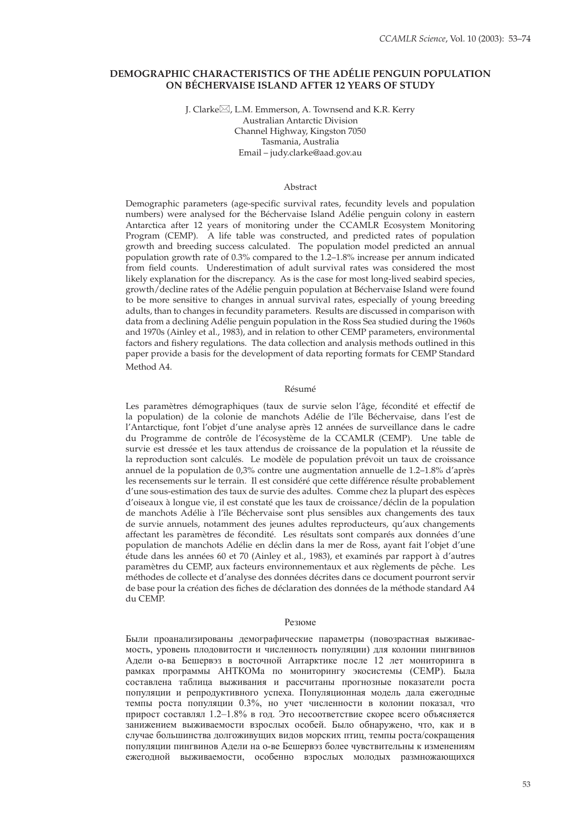# **DEMOGRAPHIC CHARACTERISTICS OF THE ADÉLIE PENGUIN POPULATION ON BÉCHERVAISE ISLAND AFTER 12 YEARS OF STUDY**

J. Clarke⊠, L.M. Emmerson, A. Townsend and K.R. Kerry Australian Antarctic Division Channel Highway, Kingston 7050 Tasmania, Australia Email – judy.clarke@aad.gov.au

#### Abstract

Demographic parameters (age-specific survival rates, fecundity levels and population numbers) were analysed for the Béchervaise Island Adélie penguin colony in eastern Antarctica after 12 years of monitoring under the CCAMLR Ecosystem Monitoring Program (CEMP). A life table was constructed, and predicted rates of population growth and breeding success calculated. The population model predicted an annual population growth rate of 0.3% compared to the 1.2–1.8% increase per annum indicated from field counts. Underestimation of adult survival rates was considered the most likely explanation for the discrepancy. As is the case for most long-lived seabird species, growth/decline rates of the Adélie penguin population at Béchervaise Island were found to be more sensitive to changes in annual survival rates, especially of young breeding adults, than to changes in fecundity parameters. Results are discussed in comparison with data from a declining Adélie penguin population in the Ross Sea studied during the 1960s and 1970s (Ainley et al., 1983), and in relation to other CEMP parameters, environmental factors and fishery regulations. The data collection and analysis methods outlined in this paper provide a basis for the development of data reporting formats for CEMP Standard Method A4.

#### Résumé

Les paramètres démographiques (taux de survie selon l'âge, fécondité et effectif de la population) de la colonie de manchots Adélie de l'île Béchervaise, dans l'est de l'Antarctique, font l'objet d'une analyse après 12 années de surveillance dans le cadre du Programme de contrôle de l'écosystème de la CCAMLR (CEMP). Une table de survie est dressée et les taux attendus de croissance de la population et la réussite de la reproduction sont calculés. Le modèle de population prévoit un taux de croissance annuel de la population de 0,3% contre une augmentation annuelle de 1.2–1.8% d'après les recensements sur le terrain. Il est considéré que cette différence résulte probablement d'une sous-estimation des taux de survie des adultes. Comme chez la plupart des espèces d'oiseaux à longue vie, il est constaté que les taux de croissance/déclin de la population de manchots Adélie à l'île Béchervaise sont plus sensibles aux changements des taux de survie annuels, notamment des jeunes adultes reproducteurs, qu'aux changements affectant les paramètres de fécondité. Les résultats sont comparés aux données d'une population de manchots Adélie en déclin dans la mer de Ross, ayant fait l'objet d'une étude dans les années 60 et 70 (Ainley et al., 1983), et examinés par rapport à d'autres paramètres du CEMP, aux facteurs environnementaux et aux règlements de pêche. Les méthodes de collecte et d'analyse des données décrites dans ce document pourront servir de base pour la création des fiches de déclaration des données de la méthode standard A4 du CEMP.

#### Резюме

Были проанализированы демографические параметры (повозрастная выживаемость, уровень плодовитости и численность популяции) для колонии пингвинов Адели о-ва Бешервэз в восточной Антарктике после 12 лет мониторинга в рамках программы АНТКОМа по мониторингу экосистемы (CEMP). Была составлена таблица выживания и рассчитаны прогнозные показатели роста популяции и репродуктивного успеха. Популяционная модель дала ежегодные темпы роста популяции 0.3%, но учет численности в колонии показал, что прирост составлял 1.2–1.8% в год. Это несоответствие скорее всего объясняется занижением выживаемости взрослых особей. Было обнаружено, что, как и в случае большинства долгоживущих видов морских птиц, темпы роста/сокращения популяции пингвинов Адели на о-ве Бешервэз более чувствительны к изменениям ежегодной выживаемости, особенно взрослых молодых размножающихся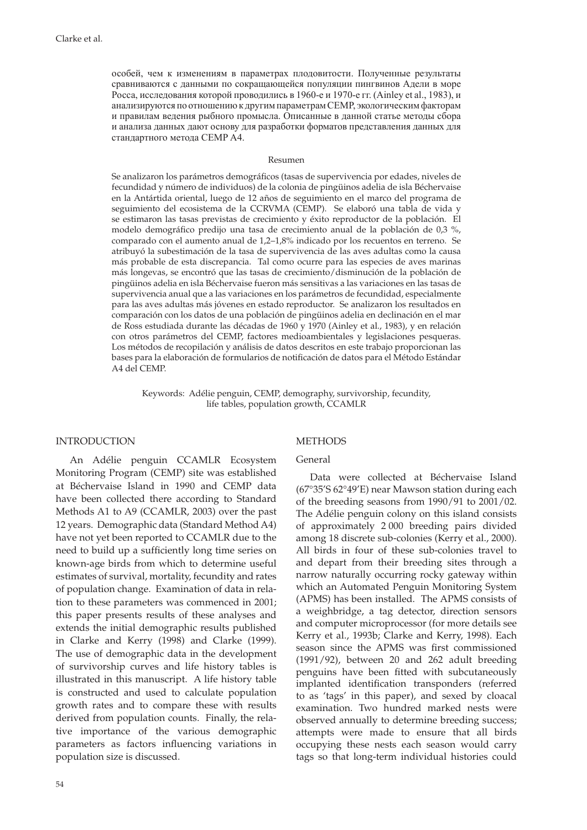особей, чем к изменениям в параметрах плодовитости. Полученные результаты сравниваются с данными по сокращающейся популяции пингвинов Адели в море Росса, исследования которой проводились в 1960-е и 1970-е гг. (Ainley et al., 1983), и анализируются по отношениюк другимпараметрам CEMP, экологическимфакторам и правилам ведения рыбного промысла. Описанные в данной статье методы сбора и анализа данных дают основу для разработки форматов представления данных для стандартного метода СЕМР A4.

#### Resumen

Se analizaron los parámetros demográficos (tasas de supervivencia por edades, niveles de fecundidad y número de individuos) de la colonia de pingüinos adelia de isla Béchervaise en la Antártida oriental, luego de 12 años de seguimiento en el marco del programa de seguimiento del ecosistema de la CCRVMA (CEMP). Se elaboró una tabla de vida y se estimaron las tasas previstas de crecimiento y éxito reproductor de la población. El modelo demográfico predijo una tasa de crecimiento anual de la población de 0,3 %, comparado con el aumento anual de 1,2–1,8% indicado por los recuentos en terreno. Se atribuyó la subestimación de la tasa de supervivencia de las aves adultas como la causa más probable de esta discrepancia. Tal como ocurre para las especies de aves marinas más longevas, se encontró que las tasas de crecimiento/disminución de la población de pingüinos adelia en isla Béchervaise fueron más sensitivas a las variaciones en las tasas de supervivencia anual que a las variaciones en los parámetros de fecundidad, especialmente para las aves adultas más jóvenes en estado reproductor. Se analizaron los resultados en comparación con los datos de una población de pingüinos adelia en declinación en el mar de Ross estudiada durante las décadas de 1960 y 1970 (Ainley et al., 1983), y en relación con otros parámetros del CEMP, factores medioambientales y legislaciones pesqueras. Los métodos de recopilación y análisis de datos descritos en este trabajo proporcionan las bases para la elaboración de formularios de notificación de datos para el Método Estándar A4 del CEMP.

Keywords: Adélie penguin, CEMP, demography, survivorship, fecundity, life tables, population growth, CCAMLR

## INTRODUCTION

An Adélie penguin CCAMLR Ecosystem Monitoring Program (CEMP) site was established at Béchervaise Island in 1990 and CEMP data have been collected there according to Standard Methods A1 to A9 (CCAMLR, 2003) over the past 12 years. Demographic data (Standard Method A4) have not yet been reported to CCAMLR due to the need to build up a sufficiently long time series on known-age birds from which to determine useful estimates of survival, mortality, fecundity and rates of population change. Examination of data in relation to these parameters was commenced in 2001; this paper presents results of these analyses and extends the initial demographic results published in Clarke and Kerry (1998) and Clarke (1999). The use of demographic data in the development of survivorship curves and life history tables is illustrated in this manuscript. A life history table is constructed and used to calculate population growth rates and to compare these with results derived from population counts. Finally, the relative importance of the various demographic parameters as factors influencing variations in population size is discussed.

#### **METHODS**

# General

Data were collected at Béchervaise Island (67°35'S 62°49'E) near Mawson station during each of the breeding seasons from 1990/91 to 2001/02. The Adélie penguin colony on this island consists of approximately 2 000 breeding pairs divided among 18 discrete sub-colonies (Kerry et al., 2000). All birds in four of these sub-colonies travel to and depart from their breeding sites through a narrow naturally occurring rocky gateway within which an Automated Penguin Monitoring System (APMS) has been installed. The APMS consists of a weighbridge, a tag detector, direction sensors and computer microprocessor (for more details see Kerry et al., 1993b; Clarke and Kerry, 1998). Each season since the APMS was first commissioned (1991/92), between 20 and 262 adult breeding penguins have been fitted with subcutaneously implanted identification transponders (referred to as 'tags' in this paper), and sexed by cloacal examination. Two hundred marked nests were observed annually to determine breeding success; attempts were made to ensure that all birds occupying these nests each season would carry tags so that long-term individual histories could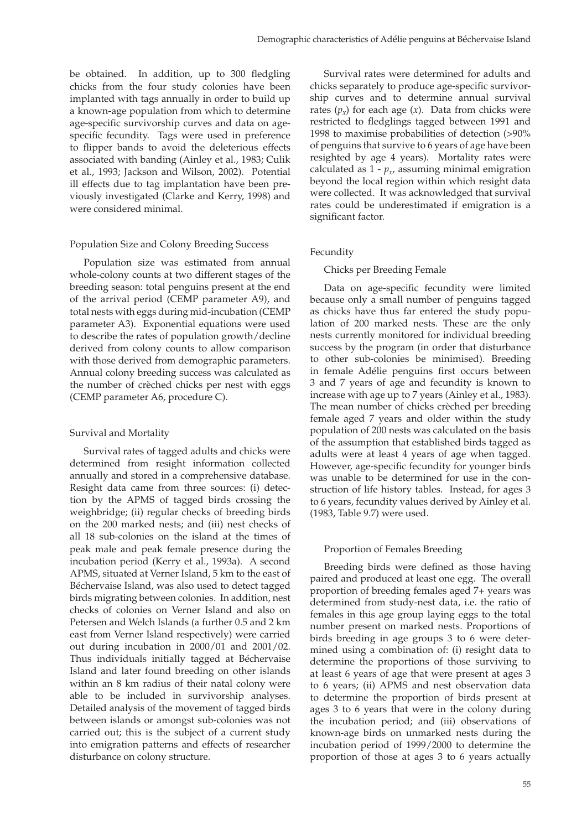be obtained. In addition, up to 300 fledgling chicks from the four study colonies have been implanted with tags annually in order to build up a known-age population from which to determine age-specific survivorship curves and data on agespecific fecundity. Tags were used in preference to flipper bands to avoid the deleterious effects associated with banding (Ainley et al., 1983; Culik et al., 1993; Jackson and Wilson, 2002). Potential ill effects due to tag implantation have been previously investigated (Clarke and Kerry, 1998) and were considered minimal.

## Population Size and Colony Breeding Success

Population size was estimated from annual whole-colony counts at two different stages of the breeding season: total penguins present at the end of the arrival period (CEMP parameter A9), and total nests with eggs during mid-incubation (CEMP parameter A3). Exponential equations were used to describe the rates of population growth/decline derived from colony counts to allow comparison with those derived from demographic parameters. Annual colony breeding success was calculated as the number of crèched chicks per nest with eggs (CEMP parameter A6, procedure C).

# Survival and Mortality

Survival rates of tagged adults and chicks were determined from resight information collected annually and stored in a comprehensive database. Resight data came from three sources: (i) detection by the APMS of tagged birds crossing the weighbridge; (ii) regular checks of breeding birds on the 200 marked nests; and (iii) nest checks of all 18 sub-colonies on the island at the times of peak male and peak female presence during the incubation period (Kerry et al., 1993a). A second APMS, situated at Verner Island, 5 km to the east of Béchervaise Island, was also used to detect tagged birds migrating between colonies. In addition, nest checks of colonies on Verner Island and also on Petersen and Welch Islands (a further 0.5 and 2 km east from Verner Island respectively) were carried out during incubation in 2000/01 and 2001/02. Thus individuals initially tagged at Béchervaise Island and later found breeding on other islands within an 8 km radius of their natal colony were able to be included in survivorship analyses. Detailed analysis of the movement of tagged birds between islands or amongst sub-colonies was not carried out; this is the subject of a current study into emigration patterns and effects of researcher disturbance on colony structure.

Survival rates were determined for adults and chicks separately to produce age-specific survivorship curves and to determine annual survival rates  $(p_x)$  for each age  $(x)$ . Data from chicks were restricted to fledglings tagged between 1991 and 1998 to maximise probabilities of detection (>90% of penguins that survive to 6 years of age have been resighted by age 4 years). Mortality rates were calculated as  $1 - p_x$ , assuming minimal emigration beyond the local region within which resight data were collected. It was acknowledged that survival rates could be underestimated if emigration is a significant factor.

# Fecundity

## Chicks per Breeding Female

Data on age-specific fecundity were limited because only a small number of penguins tagged as chicks have thus far entered the study population of 200 marked nests. These are the only nests currently monitored for individual breeding success by the program (in order that disturbance to other sub-colonies be minimised). Breeding in female Adélie penguins first occurs between 3 and 7 years of age and fecundity is known to increase with age up to 7 years (Ainley et al., 1983). The mean number of chicks crèched per breeding female aged 7 years and older within the study population of 200 nests was calculated on the basis of the assumption that established birds tagged as adults were at least 4 years of age when tagged. However, age-specific fecundity for younger birds was unable to be determined for use in the construction of life history tables. Instead, for ages 3 to 6 years, fecundity values derived by Ainley et al. (1983, Table 9.7) were used.

### Proportion of Females Breeding

Breeding birds were defined as those having paired and produced at least one egg. The overall proportion of breeding females aged 7+ years was determined from study-nest data, i.e. the ratio of females in this age group laying eggs to the total number present on marked nests. Proportions of birds breeding in age groups 3 to 6 were determined using a combination of: (i) resight data to determine the proportions of those surviving to at least 6 years of age that were present at ages 3 to 6 years; (ii) APMS and nest observation data to determine the proportion of birds present at ages 3 to 6 years that were in the colony during the incubation period; and (iii) observations of known-age birds on unmarked nests during the incubation period of 1999/2000 to determine the proportion of those at ages 3 to 6 years actually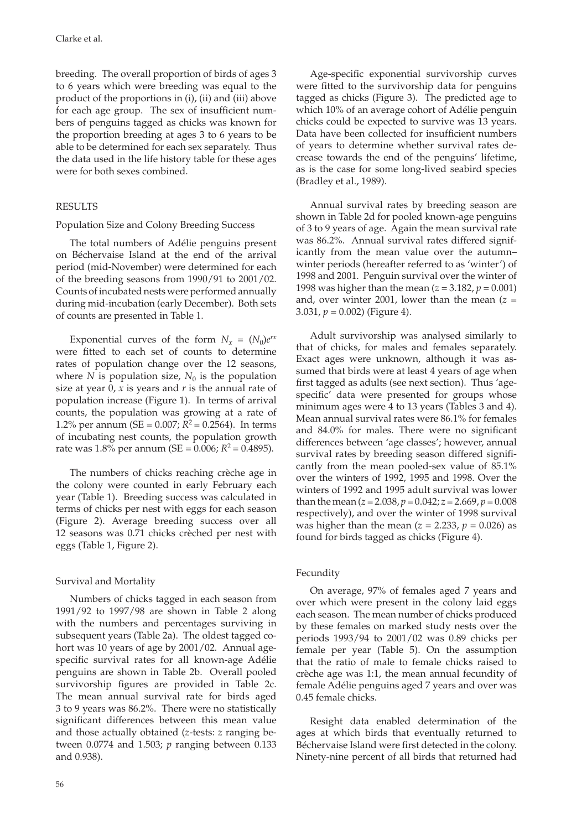breeding. The overall proportion of birds of ages 3 to 6 years which were breeding was equal to the product of the proportions in (i), (ii) and (iii) above for each age group. The sex of insufficient numbers of penguins tagged as chicks was known for the proportion breeding at ages 3 to 6 years to be able to be determined for each sex separately. Thus the data used in the life history table for these ages were for both sexes combined.

### RESULTS

### Population Size and Colony Breeding Success

The total numbers of Adélie penguins present on Béchervaise Island at the end of the arrival period (mid-November) were determined for each of the breeding seasons from 1990/91 to 2001/02. Counts of incubated nests were performed annually during mid-incubation (early December). Both sets of counts are presented in Table 1.

Exponential curves of the form  $N_r = (N_0)e^{rx}$ were fitted to each set of counts to determine rates of population change over the 12 seasons, where *N* is population size,  $N_0$  is the population size at year 0, *x* is years and *r* is the annual rate of population increase (Figure 1). In terms of arrival counts, the population was growing at a rate of 1.2% per annum (SE =  $0.007$ ;  $R^2 = 0.2564$ ). In terms of incubating nest counts, the population growth rate was 1.8% per annum (SE =  $0.006$ ;  $R^2$  = 0.4895).

The numbers of chicks reaching crèche age in the colony were counted in early February each year (Table 1). Breeding success was calculated in terms of chicks per nest with eggs for each season (Figure 2). Average breeding success over all 12 seasons was 0.71 chicks crèched per nest with eggs (Table 1, Figure 2).

### Survival and Mortality

Numbers of chicks tagged in each season from 1991/92 to 1997/98 are shown in Table 2 along with the numbers and percentages surviving in subsequent years (Table 2a). The oldest tagged cohort was 10 years of age by 2001/02. Annual agespecific survival rates for all known-age Adélie penguins are shown in Table 2b. Overall pooled survivorship figures are provided in Table 2c. The mean annual survival rate for birds aged 3 to 9 years was 86.2%. There were no statistically significant differences between this mean value and those actually obtained (*z*-tests: *z* ranging between 0.0774 and 1.503; *p* ranging between 0.133 and 0.938).

Age-specific exponential survivorship curves were fitted to the survivorship data for penguins tagged as chicks (Figure 3). The predicted age to which 10% of an average cohort of Adélie penguin chicks could be expected to survive was 13 years. Data have been collected for insufficient numbers of years to determine whether survival rates decrease towards the end of the penguins' lifetime, as is the case for some long-lived seabird species (Bradley et al., 1989).

Annual survival rates by breeding season are shown in Table 2d for pooled known-age penguins of 3 to 9 years of age. Again the mean survival rate was 86.2%. Annual survival rates differed significantly from the mean value over the autumn– winter periods (hereafter referred to as 'winter') of 1998 and 2001. Penguin survival over the winter of 1998 was higher than the mean (*z* = 3.182, *p* = 0.001) and, over winter 2001, lower than the mean  $(z =$ 3.031,  $p = 0.002$ ) (Figure 4).

Adult survivorship was analysed similarly to that of chicks, for males and females separately. Exact ages were unknown, although it was assumed that birds were at least 4 years of age when first tagged as adults (see next section). Thus 'agespecific' data were presented for groups whose minimum ages were 4 to 13 years (Tables 3 and 4). Mean annual survival rates were 86.1% for females and 84.0% for males. There were no significant differences between 'age classes'; however, annual survival rates by breeding season differed significantly from the mean pooled-sex value of 85.1% over the winters of 1992, 1995 and 1998. Over the winters of 1992 and 1995 adult survival was lower than the mean  $(z = 2.038, p = 0.042; z = 2.669, p = 0.008)$ respectively), and over the winter of 1998 survival was higher than the mean ( $z = 2.233$ ,  $p = 0.026$ ) as found for birds tagged as chicks (Figure 4).

### Fecundity

On average, 97% of females aged 7 years and over which were present in the colony laid eggs each season. The mean number of chicks produced by these females on marked study nests over the periods 1993/94 to 2001/02 was 0.89 chicks per female per year (Table 5). On the assumption that the ratio of male to female chicks raised to crèche age was 1:1, the mean annual fecundity of female Adélie penguins aged 7 years and over was 0.45 female chicks.

Resight data enabled determination of the ages at which birds that eventually returned to Béchervaise Island were first detected in the colony. Ninety-nine percent of all birds that returned had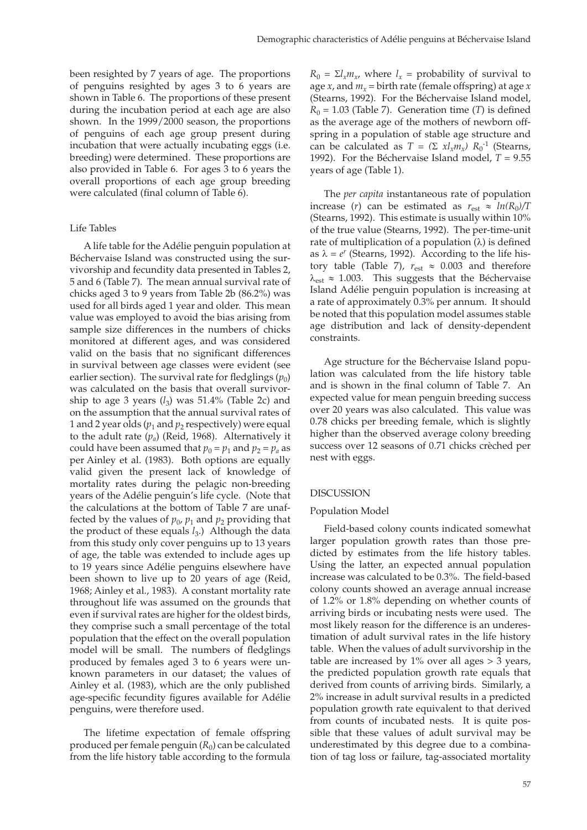been resighted by 7 years of age. The proportions of penguins resighted by ages 3 to 6 years are shown in Table 6. The proportions of these present during the incubation period at each age are also shown. In the 1999/2000 season, the proportions of penguins of each age group present during incubation that were actually incubating eggs (i.e. breeding) were determined. These proportions are also provided in Table 6. For ages 3 to 6 years the overall proportions of each age group breeding were calculated (final column of Table 6).

#### Life Tables

A life table for the Adélie penguin population at Béchervaise Island was constructed using the survivorship and fecundity data presented in Tables 2, 5 and 6 (Table 7). The mean annual survival rate of chicks aged 3 to 9 years from Table 2b (86.2%) was used for all birds aged 1 year and older. This mean value was employed to avoid the bias arising from sample size differences in the numbers of chicks monitored at different ages, and was considered valid on the basis that no significant differences in survival between age classes were evident (see earlier section). The survival rate for fledglings  $(p_0)$ was calculated on the basis that overall survivorship to age 3 years  $(l_3)$  was 51.4% (Table 2c) and on the assumption that the annual survival rates of 1 and 2 year olds  $(p_1$  and  $p_2$  respectively) were equal to the adult rate  $(p_a)$  (Reid, 1968). Alternatively it could have been assumed that  $p_0 = p_1$  and  $p_2 = p_a$  as per Ainley et al. (1983). Both options are equally valid given the present lack of knowledge of mortality rates during the pelagic non-breeding years of the Adélie penguin's life cycle. (Note that the calculations at the bottom of Table 7 are unaffected by the values of  $p_0$ ,  $p_1$  and  $p_2$  providing that the product of these equals *l*<sub>3</sub>.) Although the data from this study only cover penguins up to 13 years of age, the table was extended to include ages up to 19 years since Adélie penguins elsewhere have been shown to live up to 20 years of age (Reid, 1968; Ainley et al., 1983). A constant mortality rate throughout life was assumed on the grounds that even if survival rates are higher for the oldest birds, they comprise such a small percentage of the total population that the effect on the overall population model will be small. The numbers of fledglings produced by females aged 3 to 6 years were unknown parameters in our dataset; the values of Ainley et al. (1983), which are the only published age-specific fecundity figures available for Adélie penguins, were therefore used.

The lifetime expectation of female offspring produced per female penguin  $(R_0)$  can be calculated from the life history table according to the formula

 $R_0 = \Sigma l_x m_y$ , where  $l_x$  = probability of survival to age *x*, and  $m_x$  = birth rate (female offspring) at age *x* (Stearns, 1992). For the Béchervaise Island model,  $R_0 = 1.03$  (Table 7). Generation time (*T*) is defined as the average age of the mothers of newborn offspring in a population of stable age structure and can be calculated as  $T = (\Sigma x l_x m_x) R_0^{-1}$  (Stearns, 1992). For the Béchervaise Island model,  $T = 9.55$ years of age (Table 1).

The *per capita* instantaneous rate of population increase (*r*) can be estimated as  $r_{est} \approx ln(R_0)/T$ (Stearns, 1992). This estimate is usually within 10% of the true value (Stearns, 1992). The per-time-unit rate of multiplication of a population  $(\lambda)$  is defined as  $\lambda = e^r$  (Stearns, 1992). According to the life history table (Table 7),  $r_{est} \approx 0.003$  and therefore  $\lambda_{\text{est}} \approx 1.003$ . This suggests that the Béchervaise Island Adélie penguin population is increasing at a rate of approximately 0.3% per annum. It should be noted that this population model assumes stable age distribution and lack of density-dependent constraints.

Age structure for the Béchervaise Island population was calculated from the life history table and is shown in the final column of Table 7. An expected value for mean penguin breeding success over 20 years was also calculated. This value was 0.78 chicks per breeding female, which is slightly higher than the observed average colony breeding success over 12 seasons of 0.71 chicks crèched per nest with eggs.

#### DISCUSSION

#### Population Model

Field-based colony counts indicated somewhat larger population growth rates than those predicted by estimates from the life history tables. Using the latter, an expected annual population increase was calculated to be 0.3%. The field-based colony counts showed an average annual increase of 1.2% or 1.8% depending on whether counts of arriving birds or incubating nests were used. The most likely reason for the difference is an underestimation of adult survival rates in the life history table. When the values of adult survivorship in the table are increased by  $1\%$  over all ages  $> 3$  years, the predicted population growth rate equals that derived from counts of arriving birds. Similarly, a 2% increase in adult survival results in a predicted population growth rate equivalent to that derived from counts of incubated nests. It is quite possible that these values of adult survival may be underestimated by this degree due to a combination of tag loss or failure, tag-associated mortality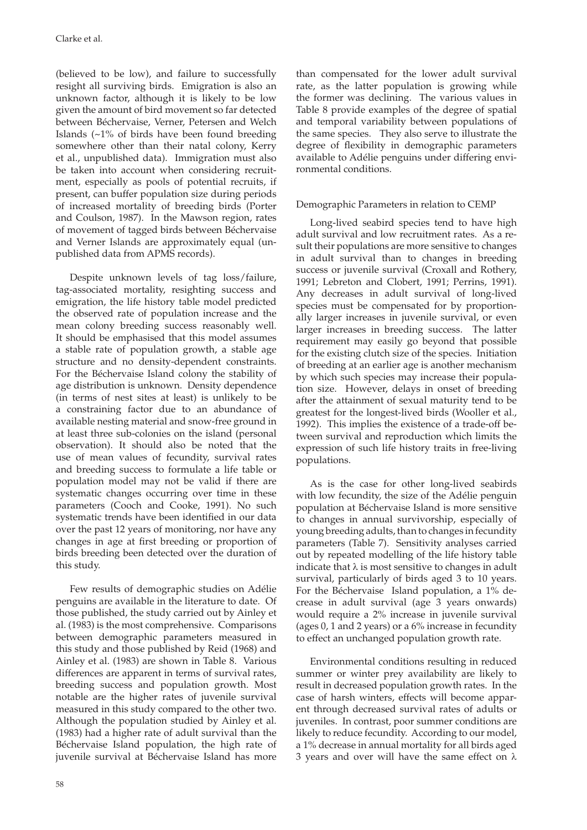(believed to be low), and failure to successfully resight all surviving birds. Emigration is also an unknown factor, although it is likely to be low given the amount of bird movement so far detected between Béchervaise, Verner, Petersen and Welch Islands (~1% of birds have been found breeding somewhere other than their natal colony, Kerry et al., unpublished data). Immigration must also be taken into account when considering recruitment, especially as pools of potential recruits, if present, can buffer population size during periods of increased mortality of breeding birds (Porter and Coulson, 1987). In the Mawson region, rates of movement of tagged birds between Béchervaise and Verner Islands are approximately equal (unpublished data from APMS records).

Despite unknown levels of tag loss/failure, tag-associated mortality, resighting success and emigration, the life history table model predicted the observed rate of population increase and the mean colony breeding success reasonably well. It should be emphasised that this model assumes a stable rate of population growth, a stable age structure and no density-dependent constraints. For the Béchervaise Island colony the stability of age distribution is unknown. Density dependence (in terms of nest sites at least) is unlikely to be a constraining factor due to an abundance of available nesting material and snow-free ground in at least three sub-colonies on the island (personal observation). It should also be noted that the use of mean values of fecundity, survival rates and breeding success to formulate a life table or population model may not be valid if there are systematic changes occurring over time in these parameters (Cooch and Cooke, 1991). No such systematic trends have been identified in our data over the past 12 years of monitoring, nor have any changes in age at first breeding or proportion of birds breeding been detected over the duration of this study.

Few results of demographic studies on Adélie penguins are available in the literature to date. Of those published, the study carried out by Ainley et al. (1983) is the most comprehensive. Comparisons between demographic parameters measured in this study and those published by Reid (1968) and Ainley et al. (1983) are shown in Table 8. Various differences are apparent in terms of survival rates, breeding success and population growth. Most notable are the higher rates of juvenile survival measured in this study compared to the other two. Although the population studied by Ainley et al. (1983) had a higher rate of adult survival than the Béchervaise Island population, the high rate of juvenile survival at Béchervaise Island has more

than compensated for the lower adult survival rate, as the latter population is growing while the former was declining. The various values in Table 8 provide examples of the degree of spatial and temporal variability between populations of the same species. They also serve to illustrate the degree of flexibility in demographic parameters available to Adélie penguins under differing environmental conditions.

# Demographic Parameters in relation to CEMP

Long-lived seabird species tend to have high adult survival and low recruitment rates. As a result their populations are more sensitive to changes in adult survival than to changes in breeding success or juvenile survival (Croxall and Rothery, 1991; Lebreton and Clobert, 1991; Perrins, 1991). Any decreases in adult survival of long-lived species must be compensated for by proportionally larger increases in juvenile survival, or even larger increases in breeding success. The latter requirement may easily go beyond that possible for the existing clutch size of the species. Initiation of breeding at an earlier age is another mechanism by which such species may increase their population size. However, delays in onset of breeding after the attainment of sexual maturity tend to be greatest for the longest-lived birds (Wooller et al., 1992). This implies the existence of a trade-off between survival and reproduction which limits the expression of such life history traits in free-living populations.

As is the case for other long-lived seabirds with low fecundity, the size of the Adélie penguin population at Béchervaise Island is more sensitive to changes in annual survivorship, especially of young breeding adults, than to changes in fecundity parameters (Table 7). Sensitivity analyses carried out by repeated modelling of the life history table indicate that  $\lambda$  is most sensitive to changes in adult survival, particularly of birds aged 3 to 10 years. For the Béchervaise Island population, a 1% decrease in adult survival (age 3 years onwards) would require a 2% increase in juvenile survival (ages 0, 1 and 2 years) or a 6% increase in fecundity to effect an unchanged population growth rate.

Environmental conditions resulting in reduced summer or winter prey availability are likely to result in decreased population growth rates. In the case of harsh winters, effects will become apparent through decreased survival rates of adults or juveniles. In contrast, poor summer conditions are likely to reduce fecundity. According to our model, a 1% decrease in annual mortality for all birds aged 3 years and over will have the same effect on  $\lambda$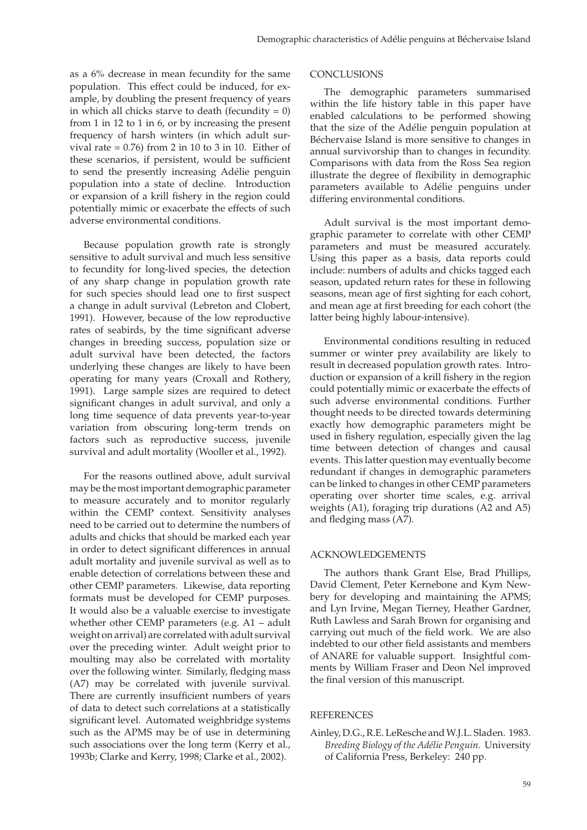as a 6% decrease in mean fecundity for the same population. This effect could be induced, for example, by doubling the present frequency of years in which all chicks starve to death (fecundity  $= 0$ ) from 1 in 12 to 1 in 6, or by increasing the present frequency of harsh winters (in which adult survival rate  $= 0.76$ ) from 2 in 10 to 3 in 10. Either of these scenarios, if persistent, would be sufficient to send the presently increasing Adélie penguin population into a state of decline. Introduction or expansion of a krill fishery in the region could potentially mimic or exacerbate the effects of such adverse environmental conditions.

Because population growth rate is strongly sensitive to adult survival and much less sensitive to fecundity for long-lived species, the detection of any sharp change in population growth rate for such species should lead one to first suspect a change in adult survival (Lebreton and Clobert, 1991). However, because of the low reproductive rates of seabirds, by the time significant adverse changes in breeding success, population size or adult survival have been detected, the factors underlying these changes are likely to have been operating for many years (Croxall and Rothery, 1991). Large sample sizes are required to detect significant changes in adult survival, and only a long time sequence of data prevents year-to-year variation from obscuring long-term trends on factors such as reproductive success, juvenile survival and adult mortality (Wooller et al., 1992).

For the reasons outlined above, adult survival may be the most important demographic parameter to measure accurately and to monitor regularly within the CEMP context. Sensitivity analyses need to be carried out to determine the numbers of adults and chicks that should be marked each year in order to detect significant differences in annual adult mortality and juvenile survival as well as to enable detection of correlations between these and other CEMP parameters. Likewise, data reporting formats must be developed for CEMP purposes. It would also be a valuable exercise to investigate whether other CEMP parameters (e.g. A1 – adult weight on arrival) are correlated with adult survival over the preceding winter. Adult weight prior to moulting may also be correlated with mortality over the following winter. Similarly, fledging mass (A7) may be correlated with juvenile survival. There are currently insufficient numbers of years of data to detect such correlations at a statistically significant level. Automated weighbridge systems such as the APMS may be of use in determining such associations over the long term (Kerry et al., 1993b; Clarke and Kerry, 1998; Clarke et al., 2002).

## **CONCLUSIONS**

The demographic parameters summarised within the life history table in this paper have enabled calculations to be performed showing that the size of the Adélie penguin population at Béchervaise Island is more sensitive to changes in annual survivorship than to changes in fecundity. Comparisons with data from the Ross Sea region illustrate the degree of flexibility in demographic parameters available to Adélie penguins under differing environmental conditions.

Adult survival is the most important demographic parameter to correlate with other CEMP parameters and must be measured accurately. Using this paper as a basis, data reports could include: numbers of adults and chicks tagged each season, updated return rates for these in following seasons, mean age of first sighting for each cohort, and mean age at first breeding for each cohort (the latter being highly labour-intensive).

Environmental conditions resulting in reduced summer or winter prey availability are likely to result in decreased population growth rates. Introduction or expansion of a krill fishery in the region could potentially mimic or exacerbate the effects of such adverse environmental conditions. Further thought needs to be directed towards determining exactly how demographic parameters might be used in fishery regulation, especially given the lag time between detection of changes and causal events. This latter question may eventually become redundant if changes in demographic parameters can be linked to changes in other CEMP parameters operating over shorter time scales, e.g. arrival weights (A1), foraging trip durations (A2 and A5) and fledging mass (A7).

# ACKNOWLEDGEMENTS

The authors thank Grant Else, Brad Phillips, David Clement, Peter Kernebone and Kym Newbery for developing and maintaining the APMS; and Lyn Irvine, Megan Tierney, Heather Gardner, Ruth Lawless and Sarah Brown for organising and carrying out much of the field work. We are also indebted to our other field assistants and members of ANARE for valuable support. Insightful comments by William Fraser and Deon Nel improved the final version of this manuscript.

### REFERENCES

Ainley, D.G., R.E. LeResche and W.J.L. Sladen. 1983. *Breeding Biology of the Adélie Penguin*. University of California Press, Berkeley: 240 pp.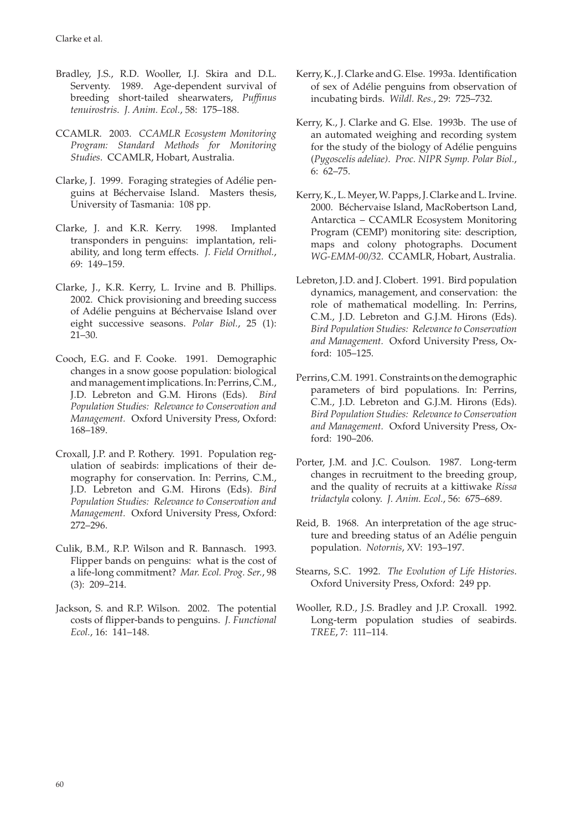Clarke et al.

- Bradley, J.S., R.D. Wooller, I.J. Skira and D.L. Serventy. 1989. Age-dependent survival of breeding short-tailed shearwaters, *Puffinus tenuirostris*. *J. Anim. Ecol.*, 58: 175–188.
- CCAMLR. 2003. *CCAMLR Ecosystem Monitoring Program: Standard Methods for Monitoring Studies*. CCAMLR, Hobart, Australia.
- Clarke, J. 1999. Foraging strategies of Adélie penguins at Béchervaise Island. Masters thesis, University of Tasmania: 108 pp.
- Clarke, J. and K.R. Kerry. 1998. Implanted transponders in penguins: implantation, reliability, and long term effects. *J. Field Ornithol.*, 69: 149–159.
- Clarke, J., K.R. Kerry, L. Irvine and B. Phillips. 2002. Chick provisioning and breeding success of Adélie penguins at Béchervaise Island over eight successive seasons. *Polar Biol.*, 25 (1): 21–30.
- Cooch, E.G. and F. Cooke. 1991. Demographic changes in a snow goose population: biological and management implications. In: Perrins, C.M., J.D. Lebreton and G.M. Hirons (Eds). *Bird Population Studies: Relevance to Conservation and Management.* Oxford University Press, Oxford: 168–189.
- Croxall, J.P. and P. Rothery. 1991. Population regulation of seabirds: implications of their demography for conservation. In: Perrins, C.M., J.D. Lebreton and G.M. Hirons (Eds). *Bird Population Studies: Relevance to Conservation and Management.* Oxford University Press, Oxford: 272–296.
- Culik, B.M., R.P. Wilson and R. Bannasch. 1993. Flipper bands on penguins: what is the cost of a life-long commitment? *Mar. Ecol. Prog. Ser.*, 98 (3): 209–214.
- Jackson, S. and R.P. Wilson. 2002. The potential costs of flipper-bands to penguins. *J. Functional Ecol.*, 16: 141–148.
- Kerry, K., J. Clarke and G. Else. 1993a. Identification of sex of Adélie penguins from observation of incubating birds. *Wildl. Res.*, 29: 725–732.
- Kerry, K., J. Clarke and G. Else. 1993b. The use of an automated weighing and recording system for the study of the biology of Adélie penguins (*Pygoscelis adeliae)*. *Proc. NIPR Symp. Polar Biol.*, 6: 62–75.
- Kerry, K., L. Meyer, W. Papps, J. Clarke and L. Irvine. 2000. Béchervaise Island, MacRobertson Land, Antarctica – CCAMLR Ecosystem Monitoring Program (CEMP) monitoring site: description, maps and colony photographs. Document *WG-EMM-00/32*. CCAMLR, Hobart, Australia.
- Lebreton, J.D. and J. Clobert. 1991. Bird population dynamics, management, and conservation: the role of mathematical modelling. In: Perrins, C.M., J.D. Lebreton and G.J.M. Hirons (Eds). *Bird Population Studies: Relevance to Conservation and Management.* Oxford University Press, Oxford: 105–125.
- Perrins, C.M. 1991. Constraints on the demographic parameters of bird populations. In: Perrins, C.M., J.D. Lebreton and G.J.M. Hirons (Eds). *Bird Population Studies: Relevance to Conservation and Management.* Oxford University Press, Oxford: 190–206.
- Porter, J.M. and J.C. Coulson. 1987. Long-term changes in recruitment to the breeding group, and the quality of recruits at a kittiwake *Rissa tridactyla* colony. *J. Anim. Ecol.*, 56: 675–689.
- Reid, B. 1968. An interpretation of the age structure and breeding status of an Adélie penguin population. *Notornis*, XV: 193–197.
- Stearns, S.C. 1992. *The Evolution of Life Histories*. Oxford University Press, Oxford: 249 pp.
- Wooller, R.D., J.S. Bradley and J.P. Croxall. 1992. Long-term population studies of seabirds. *TREE*, 7: 111–114.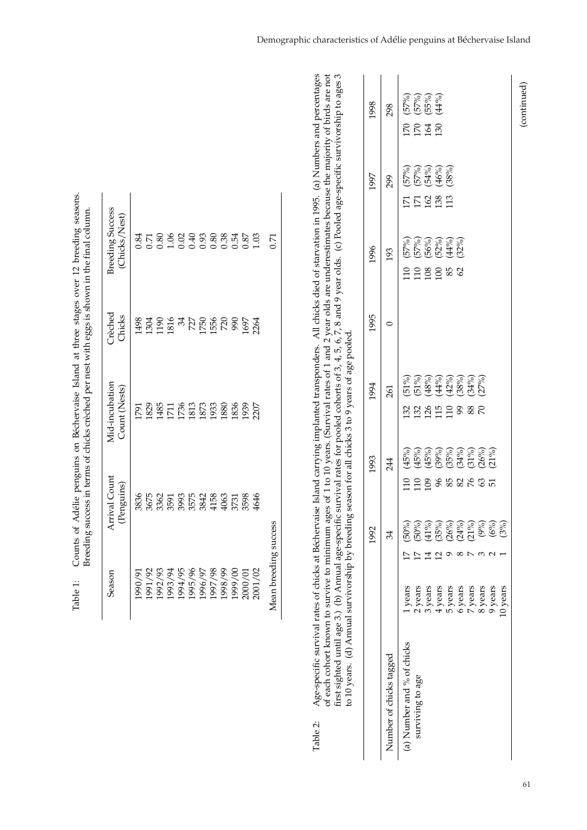| Season                | Arrival Count<br>(Penguins) | Mid-incubation<br>Count (Nests) | Crèched<br>Chicks | <b>Breeding Success</b><br>(Chicks/Nest) |
|-----------------------|-----------------------------|---------------------------------|-------------------|------------------------------------------|
| .990/91               | 3836                        | [79]                            | 1498              | 0.84                                     |
| 1991/92               | 3675                        | <b>829</b>                      | 1304              | 0.71                                     |
| 1992/93               | 3362                        | 1485                            | 190               | 0.80                                     |
| 1993/94               | 3591                        | $\overline{11}$                 | 1816              | 1.06                                     |
| 994/95                | 3993                        | 1736                            | 34                |                                          |
| 1995/96               | 3575                        | 1813                            | 727               | 0.40                                     |
| 1996/97               |                             | 1873                            | <b>1750</b>       | 0.93                                     |
| 1997/98               | 3842<br>4158                | 1933                            | 1556              |                                          |
| 1998/99               | 4063                        | 1880                            | 720               | $0.80$<br>$0.38$                         |
| 00/6661               | 3731                        | 1836                            | 990               | 0.54                                     |
| 2000/01               | 3598                        | 1939                            | 1697              | 0.87                                     |
| 2001/02               | 4646                        | 2207                            | 2264              | 1.03                                     |
| Mean breeding success |                             |                                 |                   | 55                                       |

y of birds are not percenta p to a pecific survivorshi ponders. All chicks died of starvation in 1995. (a) Numbers and year olds are underestimates because the majorit first sighted until age 3.) (b) Annual age-specific survival rates for pooled cohorts of 3, 4, 5, 6, 7, 8 and 9 year olds. (c) Pooled age-s to 10 years. (d) Annual survivorship by breeding season for all chicks 3 to 9 years of age pooled. years. (Survival rates of 1 and 2 Table 2: Age-specific survival rates of chicks at Béchervaise Island carrying implanted trans ges of 1 to 10 of each cohort known to survive to minimum a Table 2:

|                            |                                                                                                                                     | 1992                                                             | 1993      | 1994       | 1995 | 1996                                               | 1997                                          | 1998                                 |
|----------------------------|-------------------------------------------------------------------------------------------------------------------------------------|------------------------------------------------------------------|-----------|------------|------|----------------------------------------------------|-----------------------------------------------|--------------------------------------|
| Number of chicks tagged    |                                                                                                                                     |                                                                  | 244       | 261        |      | 193                                                | 299                                           | 298                                  |
| (a) Number and % of chicks | l years                                                                                                                             |                                                                  | $\Xi$     | 3289999888 |      | (57%)<br>(57%)<br>(56%)<br>(52%)<br>(32%)<br>33888 | 57%)<br>57%)<br>54%)<br>46%)<br><b>ZZ2333</b> | 67%)<br>67%)<br>67%)<br>67%)<br>2848 |
| surviving to age           | $\angle$ years                                                                                                                      |                                                                  |           |            |      |                                                    |                                               |                                      |
|                            |                                                                                                                                     |                                                                  |           |            |      |                                                    |                                               |                                      |
|                            |                                                                                                                                     |                                                                  |           |            |      |                                                    |                                               |                                      |
|                            |                                                                                                                                     |                                                                  |           |            |      |                                                    |                                               |                                      |
|                            |                                                                                                                                     |                                                                  |           |            |      |                                                    |                                               |                                      |
|                            |                                                                                                                                     |                                                                  |           |            |      |                                                    |                                               |                                      |
|                            | $\frac{3 \text{ years}}{4 \text{ years}}$<br>$\frac{4 \text{ years}}{5 \text{ years}}$<br>$\frac{5 \text{ years}}{7 \text{ years}}$ |                                                                  | 298888865 |            |      |                                                    |                                               |                                      |
|                            | 9 years                                                                                                                             | 80%)<br>(50%)<br>(50%) (35%) (36%)<br>(36%) (36%) (36%)<br>(36%) |           |            |      |                                                    |                                               |                                      |
|                            | .0 years                                                                                                                            |                                                                  |           |            |      |                                                    |                                               |                                      |

ges

ges 3

(continued)

(continued)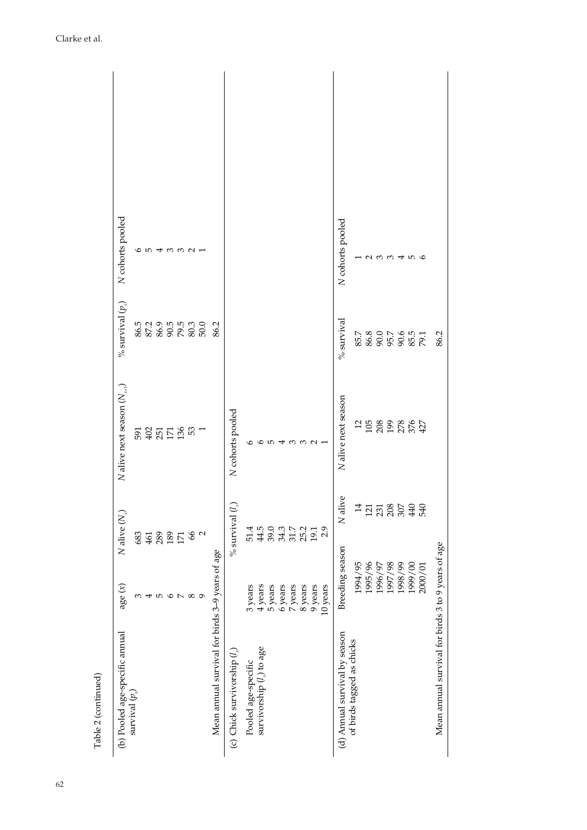| Table 2 (continued)                                |                                           |                            |                                           |                             |                   |
|----------------------------------------------------|-------------------------------------------|----------------------------|-------------------------------------------|-----------------------------|-------------------|
| (b) Pooled age-specific annual                     | age $(x)$                                 | N alive $(N_x)$            | $N$ alive next season $(N_{_{\kappa+1}})$ | $\%$ survival $(p_{\rm x})$ | N cohorts pooled  |
| $\operatorname{survival}(p)$                       | ω                                         | 683                        |                                           |                             |                   |
|                                                    | 4                                         | 461                        | 53.55555                                  |                             | а п               |
|                                                    | $\mathfrak{g}$                            | 289                        |                                           |                             |                   |
|                                                    |                                           |                            |                                           |                             |                   |
|                                                    | а<br>О                                    | $\frac{189}{171}$          |                                           |                             | せのの21             |
|                                                    | $\infty$                                  |                            |                                           |                             |                   |
|                                                    | $\sigma$                                  | 66                         |                                           | 5<br>85355535<br>5685686    |                   |
| Mean annual survival for birds 3-9 years of age    |                                           |                            |                                           | 86.2                        |                   |
| (c) Chick survivorship $(l_*)$                     |                                           | $\bigodot$<br>$%$ survival | N cohorts pooled                          |                             |                   |
| Pooled age-specific                                | 3 years                                   | 51.4                       | $\circ$                                   |                             |                   |
| survivorship (1) to age                            |                                           | 44.5                       |                                           |                             |                   |
|                                                    | $\frac{4 \text{ years}}{5 \text{ years}}$ |                            | 6543321                                   |                             |                   |
|                                                    | $6$ years                                 | 39.0<br>34.3               |                                           |                             |                   |
|                                                    | 7 years                                   | $31.7$<br>$25.2$           |                                           |                             |                   |
|                                                    | 8 years                                   |                            |                                           |                             |                   |
|                                                    | 9 years                                   | 19.1                       |                                           |                             |                   |
|                                                    | 10 years                                  | 2.9                        |                                           |                             |                   |
| (d) Annual survival by season                      | Breeding season                           | N alive                    | N alive next season                       | $%$ survival                | N cohorts pooled  |
| of birds tagged as chicks                          | 1994/95                                   |                            |                                           |                             |                   |
|                                                    | 1995/96                                   | $\frac{4}{3}$ 5 5 6 5 4 5  | 19888889                                  |                             |                   |
|                                                    | 1996/97                                   |                            |                                           |                             | $\alpha$ $\omega$ |
|                                                    | 1997/98                                   |                            |                                           |                             |                   |
|                                                    | 1998/99                                   |                            |                                           |                             |                   |
|                                                    | 1999/00                                   |                            |                                           |                             | 4 IO Q            |
|                                                    | 2000/01                                   |                            |                                           |                             |                   |
| Mean annual survival for birds 3 to 9 years of age |                                           |                            |                                           | 86.2                        |                   |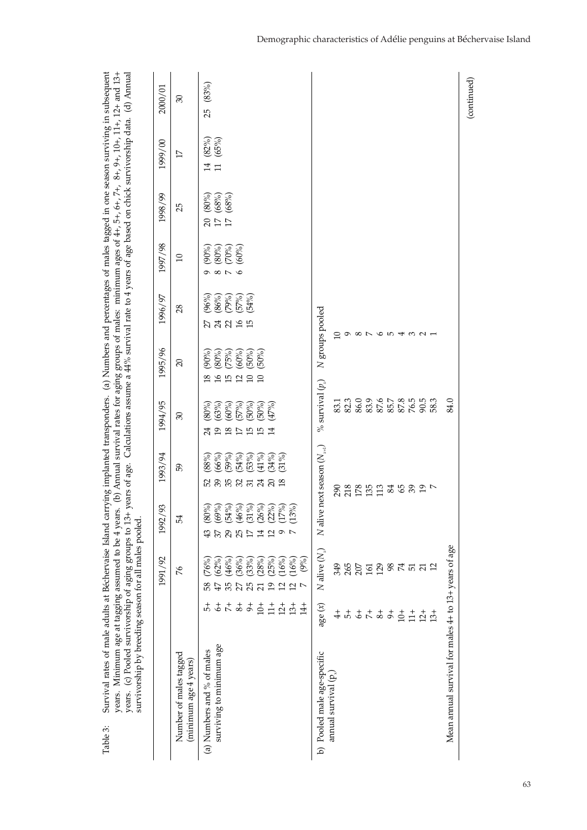| Survival rates of male adults at Béchervaise Island carrying implanted transponders. (a) Numbers and percentages of males tagged in one season surviving in subsequent<br>years. Minimum age at tagging assumed to be 4 years. (b) Annual survival rates for aging groups of males: minimum ages of 4+, 5+, 5+, 8+, 9+, 10+, 10+, 10+, 10+, and 13+<br>survivorship by breeding season for all males pooled.<br>years.<br>Table 3: |                                         | (c) Pooled survivorship of aging groups to 13+               |                                                                                                |                                                       |                                                      |                                      | years of age. Calculations assume a 44% survival rate to 4 years of age based on chick survivorship data. |                                           |                                 |                                  | (d) Annual      |
|------------------------------------------------------------------------------------------------------------------------------------------------------------------------------------------------------------------------------------------------------------------------------------------------------------------------------------------------------------------------------------------------------------------------------------|-----------------------------------------|--------------------------------------------------------------|------------------------------------------------------------------------------------------------|-------------------------------------------------------|------------------------------------------------------|--------------------------------------|-----------------------------------------------------------------------------------------------------------|-------------------------------------------|---------------------------------|----------------------------------|-----------------|
|                                                                                                                                                                                                                                                                                                                                                                                                                                    |                                         | 1991/92                                                      | 1992/93                                                                                        | 1993/94                                               | 1994/95                                              | 1995/96                              | 1996/97                                                                                                   | 1997/98                                   | 1998/99                         | 1999/00                          | 2000/01         |
| Number of males tagged<br>(minimum age 4 years)                                                                                                                                                                                                                                                                                                                                                                                    |                                         | $\%$                                                         | 54                                                                                             | 59                                                    | $\mathcal{E}$                                        | $\Omega$                             | 28                                                                                                        | $\Box$                                    | 25                              | $\Box$                           | $\mathfrak{S}0$ |
| (a) Numbers and % of males                                                                                                                                                                                                                                                                                                                                                                                                         | 4                                       | (76%)<br>58                                                  | \$                                                                                             | 88%<br>52                                             | (80%)<br>24                                          | (90%)<br>$\frac{8}{2}$               | (96%)                                                                                                     | (90%)                                     | (80%)                           | (82%)<br>14                      | (83%)<br>25     |
| surviving to minimum age                                                                                                                                                                                                                                                                                                                                                                                                           | ささささ                                    | (62%)<br>(46%)<br>47                                         | $\begin{array}{l} (80\%) \\ (69\%) \\ (54\%) \\ (46\%) \\ (31\%) \end{array}$<br>$_{29}$<br>57 | (66%)<br>(59%)<br>8535                                | (63%)<br>(60%)<br>$\overline{9}$<br>$\overline{8}$   | $(80\%)$<br>(75%)<br>$\frac{16}{15}$ | (86%)<br><b>គងន</b>                                                                                       | (80%)<br>(70%)<br>$\circ$ $\circ$ $\circ$ | (68%)<br>(68%)<br>$\frac{1}{2}$ | (65%)<br>$\overline{\mathbf{u}}$ |                 |
|                                                                                                                                                                                                                                                                                                                                                                                                                                    |                                         | (36%)<br>35                                                  | 25                                                                                             | (54%)                                                 | (57%)<br>$\sum$                                      | (60%)                                | (79%)<br>(57%)                                                                                            | (60%)                                     |                                 |                                  |                 |
|                                                                                                                                                                                                                                                                                                                                                                                                                                    |                                         | (33%)<br>25                                                  |                                                                                                | (53%)                                                 | (50%)<br>$\overline{15}$                             | (50%)<br>$\Box$                      | (54%)<br>$\overline{15}$                                                                                  |                                           |                                 |                                  |                 |
|                                                                                                                                                                                                                                                                                                                                                                                                                                    | $10+$<br>$\frac{1}{11}$                 | (28%)<br>(25%)<br>$\overline{1}$<br>$\overline{\mathcal{L}}$ | $(26%)$<br>$(22%)$<br>$(17%)$<br>14<br>$\mathfrak{a}$                                          | (41%<br>(34%)<br>$24$ 20                              | (47%)<br>(50%)<br>$\overline{15}$<br>$\overline{14}$ | (50%)<br>$\Box$                      |                                                                                                           |                                           |                                 |                                  |                 |
|                                                                                                                                                                                                                                                                                                                                                                                                                                    | $12 +$                                  | (16%)<br>$\mathfrak{a}$                                      | $\sim$                                                                                         | (31%)                                                 |                                                      |                                      |                                                                                                           |                                           |                                 |                                  |                 |
|                                                                                                                                                                                                                                                                                                                                                                                                                                    | $13+$                                   | (16%)<br>$\overline{2}$                                      | $\hat{\mathcal{S}}$<br>$\tilde{c}$<br>$\overline{ }$                                           |                                                       |                                                      |                                      |                                                                                                           |                                           |                                 |                                  |                 |
|                                                                                                                                                                                                                                                                                                                                                                                                                                    | $\frac{4}{14}$                          | (9%)<br>$\overline{ }$                                       |                                                                                                |                                                       |                                                      |                                      |                                                                                                           |                                           |                                 |                                  |                 |
| b) Pooled male age-specific                                                                                                                                                                                                                                                                                                                                                                                                        | age $(x)$                               | $N$ alive $(N_{\nu})$                                        | N alive                                                                                        | $next$ season $(N_{\scriptscriptstyle\rm{st}})$       | % survival $(p_x)$                                   |                                      | N groups pooled                                                                                           |                                           |                                 |                                  |                 |
| annual survival (p                                                                                                                                                                                                                                                                                                                                                                                                                 | $\ddot{+}$                              | 349                                                          |                                                                                                | 290                                                   | 83.1                                                 |                                      | P                                                                                                         |                                           |                                 |                                  |                 |
|                                                                                                                                                                                                                                                                                                                                                                                                                                    | $\frac{1}{\sqrt{2}}$                    | 265                                                          |                                                                                                |                                                       | 82.3                                                 |                                      | െ                                                                                                         |                                           |                                 |                                  |                 |
|                                                                                                                                                                                                                                                                                                                                                                                                                                    |                                         | 207                                                          |                                                                                                | $\begin{array}{c}\n 28 \\  \hline\n 18\n \end{array}$ | 86.0                                                 |                                      | $\infty$ $\sim$                                                                                           |                                           |                                 |                                  |                 |
|                                                                                                                                                                                                                                                                                                                                                                                                                                    |                                         | 161                                                          |                                                                                                |                                                       | 83.9                                                 |                                      |                                                                                                           |                                           |                                 |                                  |                 |
|                                                                                                                                                                                                                                                                                                                                                                                                                                    | $rac{1}{2} + \frac{1}{2} + \frac{1}{2}$ | 129                                                          |                                                                                                | 113                                                   | 87.6                                                 |                                      | $\circ$                                                                                                   |                                           |                                 |                                  |                 |
|                                                                                                                                                                                                                                                                                                                                                                                                                                    |                                         | $\frac{8}{74}$                                               |                                                                                                | 3532                                                  | 85.7                                                 |                                      | $\overline{5}$                                                                                            |                                           |                                 |                                  |                 |
|                                                                                                                                                                                                                                                                                                                                                                                                                                    | $10+$                                   |                                                              |                                                                                                |                                                       | 87.8                                                 |                                      | ₩                                                                                                         |                                           |                                 |                                  |                 |
|                                                                                                                                                                                                                                                                                                                                                                                                                                    | $\frac{1}{11}$                          | <u> ឆ ដ</u>                                                  |                                                                                                |                                                       | $76.5$<br>90.5                                       |                                      | $\omega$ $\omega$                                                                                         |                                           |                                 |                                  |                 |
|                                                                                                                                                                                                                                                                                                                                                                                                                                    | $12 +$                                  |                                                              |                                                                                                |                                                       |                                                      |                                      |                                                                                                           |                                           |                                 |                                  |                 |
|                                                                                                                                                                                                                                                                                                                                                                                                                                    | $13+$                                   | $\overline{12}$                                              |                                                                                                | $\overline{a}$                                        | 58.3                                                 |                                      |                                                                                                           |                                           |                                 |                                  |                 |
| Mean annual survival for males 4+ to 13+ years of age                                                                                                                                                                                                                                                                                                                                                                              |                                         |                                                              |                                                                                                |                                                       | 84.0                                                 |                                      |                                                                                                           |                                           |                                 |                                  |                 |
|                                                                                                                                                                                                                                                                                                                                                                                                                                    |                                         |                                                              |                                                                                                |                                                       |                                                      |                                      |                                                                                                           |                                           |                                 |                                  | (continued)     |

Demographic characteristics of Adélie penguins at Béchervaise Island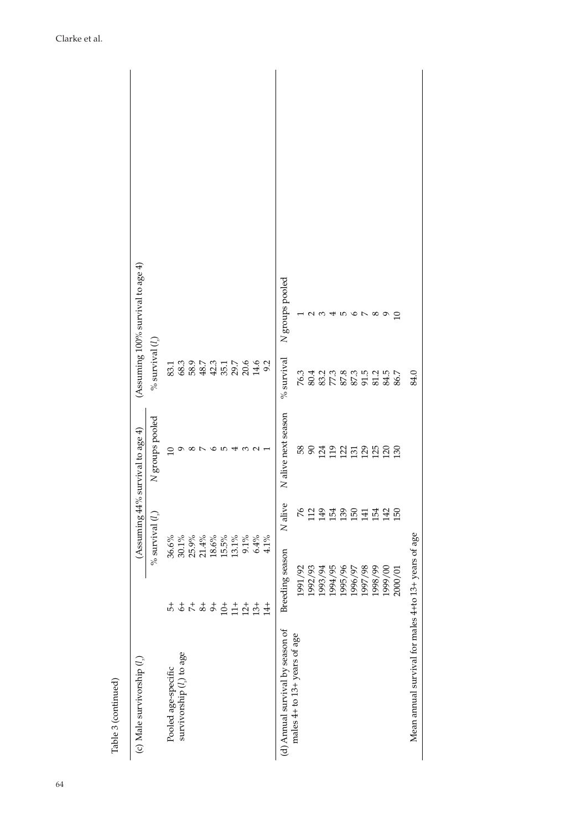| Table 3 (continued)                                  |                           |                             |                                     |                                                |                                        |
|------------------------------------------------------|---------------------------|-----------------------------|-------------------------------------|------------------------------------------------|----------------------------------------|
| (c) Male survivorship $(ln)$                         |                           |                             | (Assuming $44\%$ survival to age 4) |                                                | (Assuming $100\%$ survival to age $4)$ |
|                                                      |                           | $\%$ survival $(l_{\rm s})$ | N groups pooled                     | $\%$ survival $(l_{\rm s})$                    |                                        |
| Pooled age-specific                                  | 5                         | 36.6%                       |                                     |                                                |                                        |
| survivorship (1) to age                              |                           | $30.1\%$                    | Ō                                   |                                                |                                        |
|                                                      |                           | $25.9\%$                    | $\infty$                            |                                                |                                        |
|                                                      | $rac{+}{6} + \frac{+}{6}$ | 21.4%                       | $\overline{ }$                      | $338884488841$                                 |                                        |
|                                                      | $\sigma^+$                | $18.6\%$                    |                                     |                                                |                                        |
|                                                      | $10+$                     | $15.5\%$                    | $\sigma$ ro                         |                                                |                                        |
|                                                      | $11+$                     | 13.1%                       |                                     |                                                |                                        |
|                                                      | $12 +$                    | $9.1\%$                     |                                     |                                                |                                        |
|                                                      | $13+$                     | 6.4%                        | $\frac{3}{2}$ $\frac{1}{2}$         |                                                |                                        |
|                                                      | $\ddot{4}$                | 4.1%                        |                                     |                                                |                                        |
| (d) Annual survival by season of                     | Breeding season           | N alive                     | N alive next season                 | $%$ survival                                   | N groups pooled                        |
| males 4+ to 13+ years of age                         | 1991/92                   | $\%$                        |                                     |                                                |                                        |
|                                                      | 1992/93                   | 112                         | នទ្លុដ្ឋដូងដូងដូង                   | 3 4 5 5 8 5 5 5 6 7<br>2 6 7 7 8 7 8 7 9 7 8 7 |                                        |
|                                                      | 1993/94                   | 149                         |                                     |                                                | 234567                                 |
|                                                      | 1994/95                   | 154                         |                                     |                                                |                                        |
|                                                      | 1995/96                   | 139                         |                                     |                                                |                                        |
|                                                      | 1996/97                   | 150                         |                                     |                                                |                                        |
|                                                      | 1997/98                   | 141                         |                                     |                                                |                                        |
|                                                      | 1998/99                   | 154                         |                                     |                                                | $^{\circ}$                             |
|                                                      | 1999/00                   | 142                         |                                     |                                                | ๑                                      |
|                                                      | 2000/01                   | 150                         |                                     |                                                | $\supseteq$                            |
| Mean annual survival for males 4+to 13+ years of age |                           |                             |                                     | 84.0                                           |                                        |
|                                                      |                           |                             |                                     |                                                |                                        |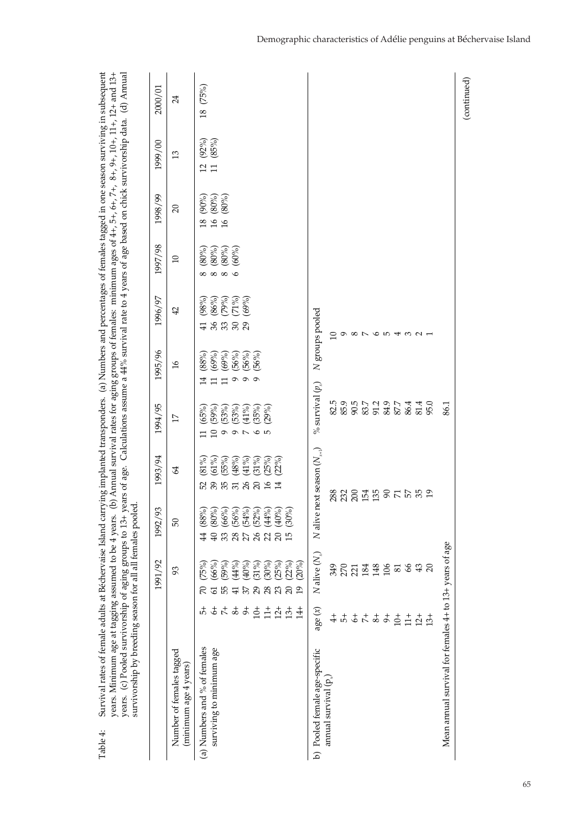| survivorship by breeding season for all all females pooled.<br>Survival rates of female adults at Béchervaise Island car<br>years. (c) Pooled survivorship of aging groups to 13+<br>years. Minimum age at tagging assumed to be 4 years.<br>Table 4: |                       |                          |                                                                                         | years of age.                                    |                               |                             |                         |                                     |                           |                         | rrying implanted transponders. (a) Numbers and percentages of females tagged in one season surviving in subsequent<br>(b) Annual survival rates for aging groups of females: minimum ages of $4+, 5+, 6+, 7+, 8+, 9+, 10+, 11+, 12+$ and $13+$<br>Calculations assume a $44\%$ survival rate to 4 years of age based on chick survivorship data. (d) Annual |
|-------------------------------------------------------------------------------------------------------------------------------------------------------------------------------------------------------------------------------------------------------|-----------------------|--------------------------|-----------------------------------------------------------------------------------------|--------------------------------------------------|-------------------------------|-----------------------------|-------------------------|-------------------------------------|---------------------------|-------------------------|-------------------------------------------------------------------------------------------------------------------------------------------------------------------------------------------------------------------------------------------------------------------------------------------------------------------------------------------------------------|
|                                                                                                                                                                                                                                                       |                       | 1991/92                  | 1992/93                                                                                 | 1993/94                                          | 1994/95                       | 1995/96                     | 1996/97                 | 1997/98                             | 1998/99                   | 1999/00                 | 2000/01                                                                                                                                                                                                                                                                                                                                                     |
| Number of females tagged<br>(minimum age 4 years)                                                                                                                                                                                                     |                       | 93                       | 50                                                                                      | 2                                                | $\overline{17}$               | $\mathfrak{I}$              | $\overline{4}$          | $\Box$                              | $\Omega$                  | $\mathfrak{D}$          | 24                                                                                                                                                                                                                                                                                                                                                          |
| (a) Numbers and % of females                                                                                                                                                                                                                          | 4                     | (75%)                    | 4                                                                                       | $(91\%)$<br>52                                   | (65%)                         | (88%)<br>±                  | (98%)<br>$\overline{4}$ | (80%)                               | (90%)<br>$\frac{8}{2}$    | (92%)<br>$\overline{c}$ | (75%)<br>$\overline{18}$                                                                                                                                                                                                                                                                                                                                    |
| surviving to minimum age                                                                                                                                                                                                                              |                       | (66%)<br>$\overline{6}$  | $(88\%)$<br>$(89\%)$<br>$(66\%)$<br>$(54\%)$<br>$(49\%)$<br>$(69\%)$<br>$\overline{40}$ | $(61\%)$<br>885                                  | (59%)<br>$\overline{10}$      | (69%)<br>⋍                  | (86%)<br>នននន           | (80%)<br>$\infty$ $\infty$ $\infty$ | (80%)<br>$\overline{16}$  | (85%)<br>$\overline{1}$ |                                                                                                                                                                                                                                                                                                                                                             |
|                                                                                                                                                                                                                                                       | $\stackrel{+}{\circ}$ | (59%)<br>55              | 33                                                                                      | (55%)                                            | (53%)<br>$\mathbf 0$          | (69%)<br>□                  | $(79%)$<br>$(71%)$      | (80%)                               | $(80\%)$<br>$\frac{3}{4}$ |                         |                                                                                                                                                                                                                                                                                                                                                             |
|                                                                                                                                                                                                                                                       | $\overline{8}$        | (44%)<br>$\overline{41}$ | $\frac{28}{27}$                                                                         | (48%)                                            | (53%)<br>っぃ                   | (56%)<br>$\mathbf{\hat{e}}$ |                         | (60%)                               |                           |                         |                                                                                                                                                                                                                                                                                                                                                             |
|                                                                                                                                                                                                                                                       | $\ddot{\sigma}$       | (40%)<br>37              |                                                                                         | $(41\%)$<br>26                                   | (41%                          | (56%)<br>$\sigma$ $\sigma$  | (69%)                   |                                     |                           |                         |                                                                                                                                                                                                                                                                                                                                                             |
|                                                                                                                                                                                                                                                       | $10+$                 | $(31\%)$<br>29           | $\mathcal{L}6$                                                                          | (31%)<br>20                                      | (35%)<br>$\sigma$ ro          | (56%)                       |                         |                                     |                           |                         |                                                                                                                                                                                                                                                                                                                                                             |
|                                                                                                                                                                                                                                                       | $\frac{1}{11}$        | (30%)<br>28              |                                                                                         | (25%)<br>$\frac{6}{2}$                           | (29%)                         |                             |                         |                                     |                           |                         |                                                                                                                                                                                                                                                                                                                                                             |
|                                                                                                                                                                                                                                                       | $12+$                 | (25%)<br>23              | $285$                                                                                   | (22%)<br>$\overline{14}$                         |                               |                             |                         |                                     |                           |                         |                                                                                                                                                                                                                                                                                                                                                             |
|                                                                                                                                                                                                                                                       | $13+$                 | (22%)<br>20              |                                                                                         |                                                  |                               |                             |                         |                                     |                           |                         |                                                                                                                                                                                                                                                                                                                                                             |
|                                                                                                                                                                                                                                                       | $\frac{4}{14}$        | (20%)<br>$\overline{1}$  |                                                                                         |                                                  |                               |                             |                         |                                     |                           |                         |                                                                                                                                                                                                                                                                                                                                                             |
| b) Pooled female age-specific                                                                                                                                                                                                                         | age $(x)$             | $N$ alive $(N_{\nu})$    | N alive                                                                                 | next season $(N_{\scriptscriptstyle\chi\!+\!1})$ | $\%$ survival $(p_{_{\chi}})$ |                             | N groups pooled         |                                     |                           |                         |                                                                                                                                                                                                                                                                                                                                                             |
| annual survival (p                                                                                                                                                                                                                                    | $\ddot{+}$            | 349                      |                                                                                         |                                                  | 82.5                          |                             | ≘                       |                                     |                           |                         |                                                                                                                                                                                                                                                                                                                                                             |
|                                                                                                                                                                                                                                                       | $\overline{5}$        | 270                      |                                                                                         |                                                  | 85.9                          |                             | $\circ$                 |                                     |                           |                         |                                                                                                                                                                                                                                                                                                                                                             |
|                                                                                                                                                                                                                                                       |                       | $\overline{21}$          |                                                                                         |                                                  |                               |                             | $\infty$                |                                     |                           |                         |                                                                                                                                                                                                                                                                                                                                                             |
|                                                                                                                                                                                                                                                       | $\frac{+}{2}$         | $\frac{84}{5}$           |                                                                                         |                                                  | 90.5<br>83.7                  |                             | $\overline{a}$          |                                     |                           |                         |                                                                                                                                                                                                                                                                                                                                                             |
|                                                                                                                                                                                                                                                       | $\overline{8}$ +      | 148                      |                                                                                         |                                                  | 91.2                          |                             |                         |                                     |                           |                         |                                                                                                                                                                                                                                                                                                                                                             |
|                                                                                                                                                                                                                                                       | $\sigma^+$            | 106                      |                                                                                         |                                                  | 84.9                          |                             | ά                       |                                     |                           |                         |                                                                                                                                                                                                                                                                                                                                                             |
|                                                                                                                                                                                                                                                       | $10+$                 | $\mathbf{g}$             |                                                                                         |                                                  | 87.7                          |                             | $400 -$                 |                                     |                           |                         |                                                                                                                                                                                                                                                                                                                                                             |
|                                                                                                                                                                                                                                                       | $\frac{+}{11}$        | $\infty$                 |                                                                                         |                                                  | 86.4                          |                             |                         |                                     |                           |                         |                                                                                                                                                                                                                                                                                                                                                             |
|                                                                                                                                                                                                                                                       | $12 +$                | $\frac{3}{20}$           |                                                                                         |                                                  | 81.4                          |                             |                         |                                     |                           |                         |                                                                                                                                                                                                                                                                                                                                                             |
|                                                                                                                                                                                                                                                       | $\frac{1}{2}$         |                          |                                                                                         |                                                  | 95.0                          |                             |                         |                                     |                           |                         |                                                                                                                                                                                                                                                                                                                                                             |
| Mean annual survival for females 4+ to 13+ years of age                                                                                                                                                                                               |                       |                          |                                                                                         |                                                  | 86.1                          |                             |                         |                                     |                           |                         |                                                                                                                                                                                                                                                                                                                                                             |
|                                                                                                                                                                                                                                                       |                       |                          |                                                                                         |                                                  |                               |                             |                         |                                     |                           |                         | (continued)                                                                                                                                                                                                                                                                                                                                                 |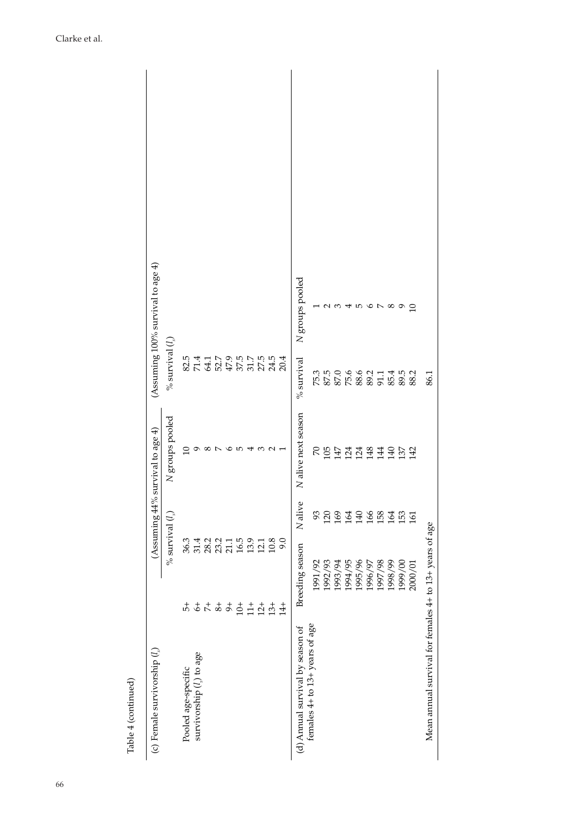| Table 4 (continued)                                     |                                         |                             |                                        |                                      |                                      |
|---------------------------------------------------------|-----------------------------------------|-----------------------------|----------------------------------------|--------------------------------------|--------------------------------------|
| (c) Female survivorship $(l_*)$                         |                                         |                             | (Assuming $44\%$ survival to age $4$ ) |                                      | (Assuming $100\%$ survival to age 4) |
|                                                         |                                         | $\%$ survival $(l_{\rm s})$ | N groups pooled                        | % survival $(l)$                     |                                      |
| Pooled age-specific                                     | 4                                       |                             | $\supseteq$                            |                                      |                                      |
| survivorship (1) to age                                 |                                         |                             |                                        |                                      |                                      |
|                                                         |                                         |                             | ∞                                      |                                      |                                      |
|                                                         | $rac{1}{2} + \frac{1}{2} + \frac{1}{2}$ | 3611211<br>36121112         | $\overline{ }$                         |                                      |                                      |
|                                                         |                                         |                             | ৩                                      |                                      |                                      |
|                                                         | $10+$                                   | 16.5                        | r.                                     |                                      |                                      |
|                                                         | $\frac{1}{11}$                          | 13.9                        |                                        |                                      |                                      |
|                                                         | $12+$                                   | 12.1                        |                                        |                                      |                                      |
|                                                         | $13+$                                   | 10.8                        | $\omega \sim -$                        |                                      |                                      |
|                                                         | $14+$                                   | 9.0                         |                                        | 20.4                                 |                                      |
| (d) Annual survival by season of                        | Breeding season                         | N alive                     | N alive next season                    | $%$ survival                         | N groups pooled                      |
| females 4+ to 13+ years of age                          | 1991/92                                 | 93                          |                                        |                                      |                                      |
|                                                         | 1992/93                                 | $\overline{20}$             |                                        | 75.3<br>87.5                         |                                      |
|                                                         | 1993/94                                 | 169                         |                                        | 0.0.6.9.21.1.4.15<br>85.88.9.5.14.15 | 60                                   |
|                                                         | 1994/95                                 | 164                         |                                        |                                      | ↤                                    |
|                                                         | 1995/96                                 | 140                         |                                        |                                      | w                                    |
|                                                         | 1996/97                                 | 166                         |                                        |                                      |                                      |
|                                                         | 1997/98                                 | 158                         |                                        |                                      | っレ                                   |
|                                                         | 1998/99                                 | 164                         |                                        |                                      | $^{\circ}$                           |
|                                                         | 1999/00                                 | 153                         |                                        |                                      | ᠪ                                    |
|                                                         | 2000/01                                 | 161                         |                                        | 88.2                                 | $\supseteq$                          |
| Mean annual survival for females 4+ to 13+ years of age |                                         |                             |                                        | 86.1                                 |                                      |
|                                                         |                                         |                             |                                        |                                      |                                      |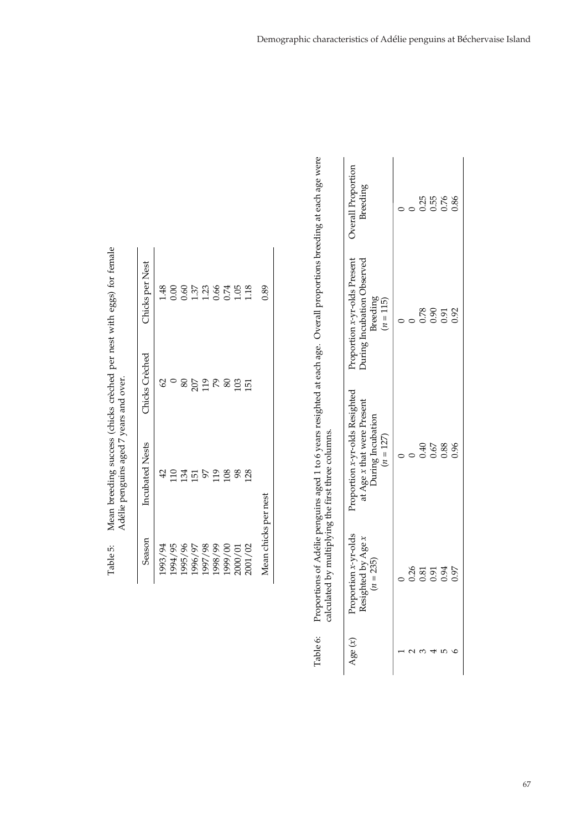| Season               | <b>Incubated Nests</b> | Chicks Creched | Chicks per Nest |
|----------------------|------------------------|----------------|-----------------|
| 1993/94              | 42                     | 2              |                 |
| 1994/95              | 2355                   |                |                 |
| 1995/96              |                        | 80             |                 |
| 1996/97              |                        |                |                 |
| 1997/98              |                        | 207<br>119     |                 |
| 1998/99              | 119                    | $\frac{8}{8}$  |                 |
| 1999/00              | 108                    |                |                 |
| 2000/01              | 98                     | 103            |                 |
| 2001/02              | 128                    | $\overline{5}$ |                 |
| Mean chicks per nest |                        |                | 0.89            |

| lean breeding success (chicks creched per nest with eggs) for temal | Adelie penguins aged / years and over.<br>ı<br>י האלא ה |
|---------------------------------------------------------------------|---------------------------------------------------------|
| i<br>י הדחי<br>ı                                                    |                                                         |

Proportions of Adélie penguins aged 1 to 6 years resighted at each age. Overall proportions breeding at each age were Table 6: Proportions of Adélie penguins aged 1 to 6 years resighted at each age. Overall proportions breeding at each a calculated by multiplying the first three columns. Table 6:

|                                                   | Overall Proportion<br>Breeding                                                                          |      | 0.25 | 0.55 | 0.76<br>0.86         |      |
|---------------------------------------------------|---------------------------------------------------------------------------------------------------------|------|------|------|----------------------|------|
|                                                   | Proportion x-yr-olds Present<br>During Incubation Observed<br>Breeding<br>$(n = 115)$                   |      | 0.78 | 0.90 | 0.91                 | 0.92 |
|                                                   | Proportion x-yr-olds Resighted<br>at Age <i>x</i> that were Present<br>During Incubation<br>$(n = 127)$ |      | 0.40 | 0.67 | 0.88                 | 0.96 |
| alculated by multiplying the first three columns. | $rtion x-yr-olds$<br>thed by Age x<br>$(n = 235)$<br>lgies.                                             | 0.26 |      |      | 0.81<br>0.94<br>0.97 |      |
|                                                   | $\sec(x)$                                                                                               |      |      |      |                      | ۵    |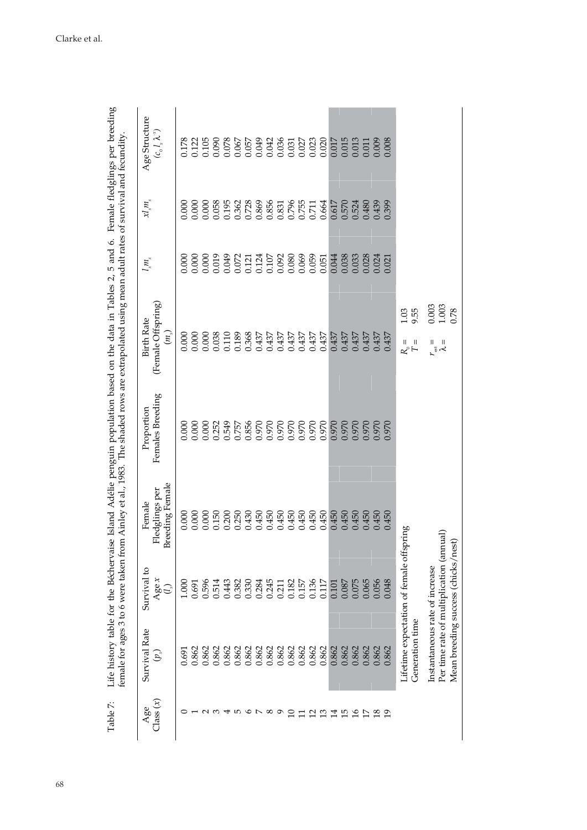| Table 7:           |                                |                                                                                |                                                    |                                | Life history table for the Béchervaise Island Adélie penguin population based on the data in Tables 2, 5 and 6. Female fledglings per breeding<br>female for ages 3 to 6 were taken from Ainley et al., 1983. The shaded rows are extrapolated using mean adult rates of survival and fecundity |                                           |                                  |                                                        |
|--------------------|--------------------------------|--------------------------------------------------------------------------------|----------------------------------------------------|--------------------------------|-------------------------------------------------------------------------------------------------------------------------------------------------------------------------------------------------------------------------------------------------------------------------------------------------|-------------------------------------------|----------------------------------|--------------------------------------------------------|
| Class $(x)$<br>Age | Survival Rate<br>$\widehat{b}$ | Survival to<br>Agex<br>$\mathbb{G}$                                            | <b>Breeding Female</b><br>Fledglings per<br>Female | Females Breeding<br>Proportion | (Female Offspring)<br><b>Birth Rate</b><br>$\binom{[n]}{[n]}$                                                                                                                                                                                                                                   | $\int_M$                                  | $x_{n}^{m}$                      | Age Structure<br>$(c_{_0}l_{_x}\lambda^{_x})$          |
|                    | 0.691                          | 1.000                                                                          | 0.000                                              |                                |                                                                                                                                                                                                                                                                                                 | 0.000                                     |                                  | 0.178                                                  |
|                    | 0.862                          | 0.691                                                                          | 0.000                                              | 0.000                          | 0.000                                                                                                                                                                                                                                                                                           | 0.000                                     | 0.000                            | 0.122                                                  |
|                    | 0.862                          | 0.596                                                                          | 0.000                                              | 0.000                          |                                                                                                                                                                                                                                                                                                 |                                           |                                  |                                                        |
|                    | 0.862                          | 0.514                                                                          | 0.150                                              | 0.252                          | $0.000$<br>$0.038$                                                                                                                                                                                                                                                                              | $0.000$<br>$0.019$                        | 0.000                            | 0.105<br>0.090<br>0.078<br>0.067                       |
|                    | 0.862                          | 0.443                                                                          | 0.200                                              | 0.549                          | 0.110<br>0.189                                                                                                                                                                                                                                                                                  | 0.049                                     | 0.195                            |                                                        |
| 5                  | 0.862                          | 0.382                                                                          | 0.250                                              | 0.757                          |                                                                                                                                                                                                                                                                                                 |                                           | 0.362                            |                                                        |
| $\circ$            | 0.862                          | 0.330                                                                          | 0.430                                              | 0.856                          | 0.368<br>0.437                                                                                                                                                                                                                                                                                  |                                           |                                  |                                                        |
|                    | 0.862                          | 0.284                                                                          | 0.450                                              | 0.970                          |                                                                                                                                                                                                                                                                                                 |                                           | 0.728<br>0.869                   | 0.057<br>0.049                                         |
| $^{\circ}$         | 0.862                          |                                                                                | 0.450                                              | 0.970                          | 0.437                                                                                                                                                                                                                                                                                           |                                           |                                  | 0.042                                                  |
| ๑                  | 0.862                          | 0.245<br>0.211                                                                 | 0.450                                              | 0.970                          | 0.437                                                                                                                                                                                                                                                                                           | 0.121<br>0.124<br>0.107<br>0.080<br>0.069 | 0.856<br>0.831<br>0.755<br>0.711 | 0.036                                                  |
| ≘                  | 0.862                          | 0.182                                                                          | 0.450                                              | 0.970<br>0.970                 | 0.437                                                                                                                                                                                                                                                                                           |                                           |                                  | $\begin{array}{c} 0.031 \\ 0.027 \\ 0.023 \end{array}$ |
|                    | 0.862                          | 0.157                                                                          | 0.450                                              |                                | 0.437                                                                                                                                                                                                                                                                                           |                                           |                                  |                                                        |
| $\overline{c}$     | 0.862                          | 0.136                                                                          | 0.450                                              | 0.970                          | 0.437                                                                                                                                                                                                                                                                                           | 0.059                                     |                                  |                                                        |
| $\mathfrak{L}$     | 0.862                          | 0.117                                                                          | 0.450                                              | 0.970                          | 0.437                                                                                                                                                                                                                                                                                           | 0.051                                     | 0.664                            | 0.020                                                  |
| $\overline{14}$    | 0.862                          | 0.101                                                                          | 0.450                                              | 0.970                          | 0.437                                                                                                                                                                                                                                                                                           | 0.044                                     | 0.617                            | 0.017                                                  |
| <b>ES 25</b>       | 0.862                          | 0.087                                                                          | 0.450                                              | 0.970                          | 0.437                                                                                                                                                                                                                                                                                           | 0.038                                     | 0.570                            | 0.015                                                  |
|                    | 0.862                          | 0.075                                                                          | e e e<br>0.450                                     | 0.970                          | <u> Alian I</u><br>0.437                                                                                                                                                                                                                                                                        | 0.33                                      | 0.524                            | 0.013                                                  |
| $\overline{17}$    | 0.862                          | 0.065                                                                          | 0.450                                              | 0.970                          | 0.437                                                                                                                                                                                                                                                                                           | 0.028                                     | 0.480                            | 0.011                                                  |
| $\overline{18}$    | 0.862                          | 0.056                                                                          | 0.450                                              | 0.970                          | 0.437                                                                                                                                                                                                                                                                                           | 0.024                                     | 0.439                            | 0.009                                                  |
| $\overline{19}$    | 0.862                          | 0.048                                                                          | 0.450                                              | 0.970                          | 0.437                                                                                                                                                                                                                                                                                           | 0.021                                     | 0.399                            | 0.008                                                  |
|                    | Generation time                | Lifetime expectation of female offspring                                       |                                                    |                                | 9.55<br>1.03<br>Ш<br>Ш<br>$R^{\circ}$ F                                                                                                                                                                                                                                                         |                                           |                                  |                                                        |
|                    |                                |                                                                                |                                                    |                                |                                                                                                                                                                                                                                                                                                 |                                           |                                  |                                                        |
|                    | Instantaneous rate of increase | Per time rate of multiplication (amual)<br>Mean breeding success (chicks/nest) |                                                    |                                | $0.003$<br>$1.003$<br>$\mathsf{I}$<br>Ш<br>$\zeta$                                                                                                                                                                                                                                              |                                           |                                  |                                                        |
|                    |                                |                                                                                |                                                    |                                | 0.78                                                                                                                                                                                                                                                                                            |                                           |                                  |                                                        |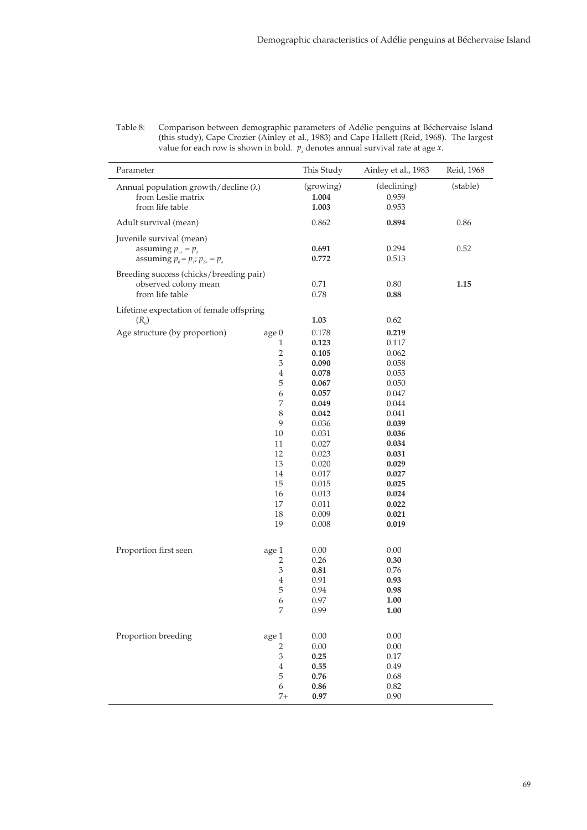| Parameter                                                                                    |                                                                                                                                                                              | This Study                                                                                                                                                              | Ainley et al., 1983                                                                                                                                                     | Reid, 1968 |
|----------------------------------------------------------------------------------------------|------------------------------------------------------------------------------------------------------------------------------------------------------------------------------|-------------------------------------------------------------------------------------------------------------------------------------------------------------------------|-------------------------------------------------------------------------------------------------------------------------------------------------------------------------|------------|
| Annual population growth/decline $(\lambda)$<br>from Leslie matrix<br>from life table        |                                                                                                                                                                              | (growing)<br>1.004<br>1.003                                                                                                                                             | (declining)<br>0.959<br>0.953                                                                                                                                           | (stable)   |
| Adult survival (mean)                                                                        |                                                                                                                                                                              | 0.862                                                                                                                                                                   | 0.894                                                                                                                                                                   | 0.86       |
| Juvenile survival (mean)<br>assuming $p_{1+} = p_a$<br>assuming $p_0 = p_1$ ; $p_{2+} = p_a$ |                                                                                                                                                                              | 0.691<br>0.772                                                                                                                                                          | 0.294<br>0.513                                                                                                                                                          | 0.52       |
| Breeding success (chicks/breeding pair)<br>observed colony mean<br>from life table           |                                                                                                                                                                              | 0.71<br>0.78                                                                                                                                                            | 0.80<br>0.88                                                                                                                                                            | 1.15       |
| Lifetime expectation of female offspring<br>$(R_0)$                                          |                                                                                                                                                                              | 1.03                                                                                                                                                                    | 0.62                                                                                                                                                                    |            |
| Age structure (by proportion)                                                                | age 0<br>1<br>$\overline{2}$<br>$\ensuremath{\mathfrak{Z}}$<br>$\overline{4}$<br>$\mathbf 5$<br>6<br>7<br>$\,8\,$<br>9<br>10<br>11<br>12<br>13<br>14<br>15<br>16<br>17<br>18 | 0.178<br>0.123<br>0.105<br>0.090<br>0.078<br>0.067<br>0.057<br>0.049<br>0.042<br>0.036<br>0.031<br>0.027<br>0.023<br>0.020<br>0.017<br>0.015<br>0.013<br>0.011<br>0.009 | 0.219<br>0.117<br>0.062<br>0.058<br>0.053<br>0.050<br>0.047<br>0.044<br>0.041<br>0.039<br>0.036<br>0.034<br>0.031<br>0.029<br>0.027<br>0.025<br>0.024<br>0.022<br>0.021 |            |
| Proportion first seen                                                                        | 19<br>age 1<br>2<br>$\ensuremath{\mathfrak{Z}}$<br>$\overline{4}$                                                                                                            | 0.008<br>0.00<br>0.26<br>0.81<br>0.91                                                                                                                                   | 0.019<br>0.00<br>0.30<br>0.76<br>0.93                                                                                                                                   |            |
|                                                                                              | $\mathbf 5$<br>6<br>$\boldsymbol{7}$                                                                                                                                         | 0.94<br>0.97<br>0.99                                                                                                                                                    | 0.98<br>1.00<br>1.00                                                                                                                                                    |            |
| Proportion breeding                                                                          | age 1<br>$\sqrt{2}$<br>$\ensuremath{\mathfrak{Z}}$<br>$\,4\,$<br>$\mathbf 5$<br>$\boldsymbol{6}$<br>$7+$                                                                     | 0.00<br>$0.00\,$<br>0.25<br>0.55<br>0.76<br>0.86<br>0.97                                                                                                                | 0.00<br>0.00<br>0.17<br>0.49<br>0.68<br>0.82<br>0.90                                                                                                                    |            |

Comparison between demographic parameters of Adélie penguins at Béchervaise Island (this study), Cape Crozier (Ainley et al., 1983) and Cape Hallett (Reid, 1968). The largest Table 8: value for each row is shown in bold.  $p_x$  denotes annual survival rate at age x.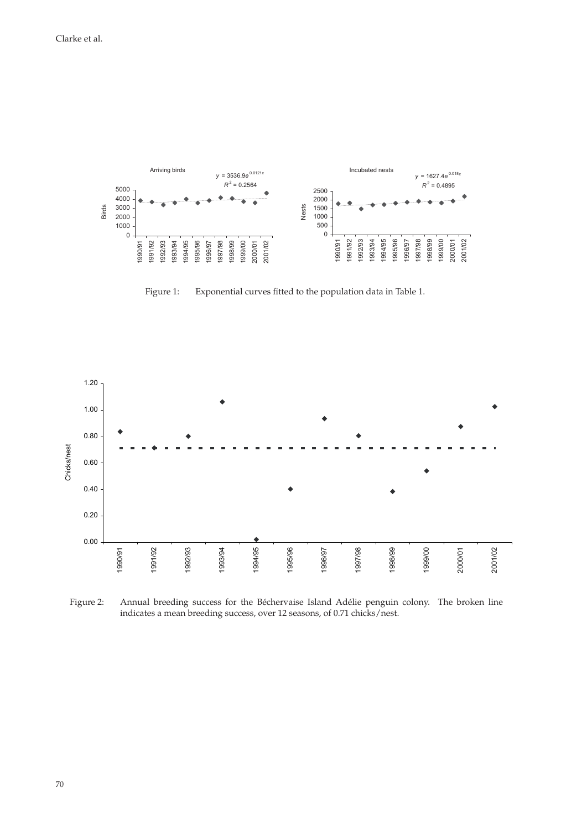

Figure 1: Exponential curves fitted to the population data in Table 1.



Figure 2: Annual breeding success for the Béchervaise Island Adélie penguin colony. The broken line indicates a mean breeding success, over 12 seasons, of 0.71 chicks/nest.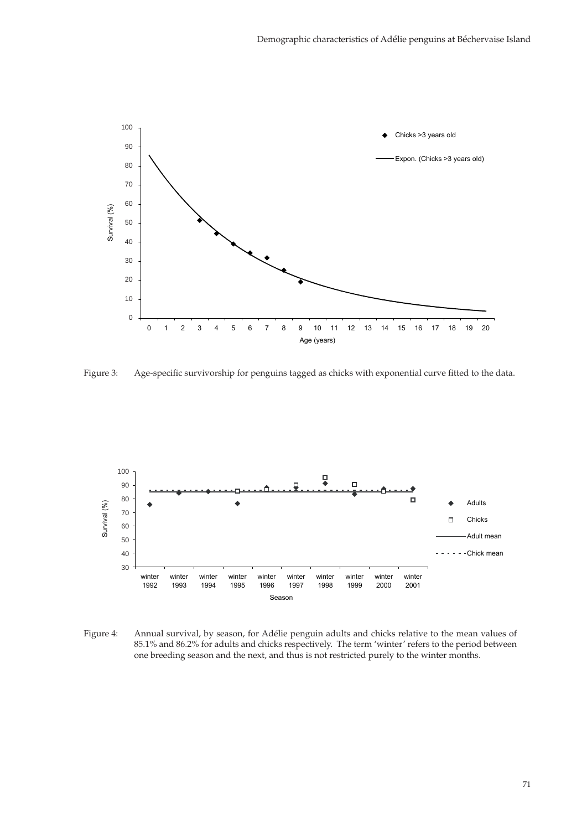

Figure 3: Age-specific survivorship for penguins tagged as chicks with exponential curve fitted to the data.



Figure 4: Annual survival, by season, for Adélie penguin adults and chicks relative to the mean values of 85.1% and 86.2% for adults and chicks respectively. The term 'winter' refers to the period between one breeding season and the next, and thus is not restricted purely to the winter months.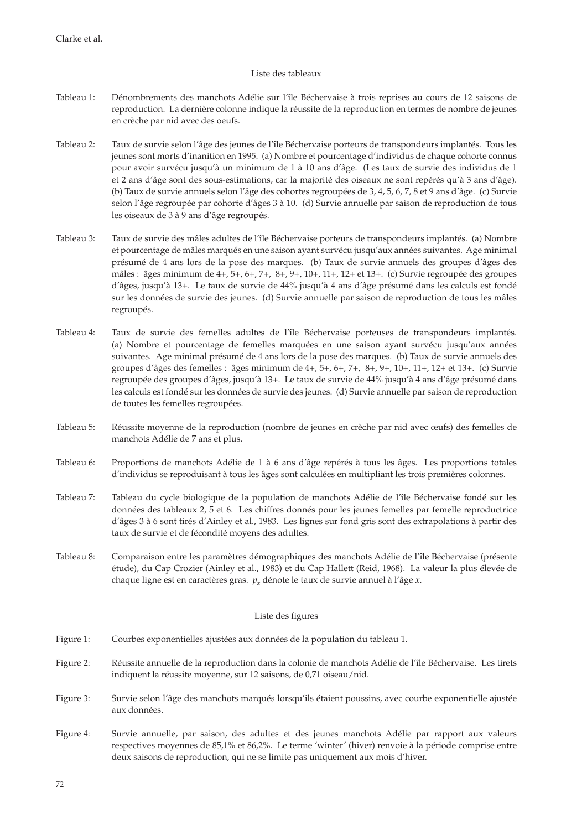## Liste des tableaux

- Tableau 1: Dénombrements des manchots Adélie sur l'île Béchervaise à trois reprises au cours de 12 saisons de reproduction. La dernière colonne indique la réussite de la reproduction en termes de nombre de jeunes en crèche par nid avec des oeufs.
- Tableau 2: Taux de survie selon l'âge des jeunes de l'île Béchervaise porteurs de transpondeurs implantés. Tous les jeunes sont morts d'inanition en 1995. (a) Nombre et pourcentage d'individus de chaque cohorte connus pour avoir survécu jusqu'à un minimum de 1 à 10 ans d'âge. (Les taux de survie des individus de 1 et 2 ans d'âge sont des sous-estimations, car la majorité des oiseaux ne sont repérés qu'à 3 ans d'âge). (b) Taux de survie annuels selon l'âge des cohortes regroupées de 3, 4, 5, 6, 7, 8 et 9 ans d'âge. (c) Survie selon l'âge regroupée par cohorte d'âges 3 à 10. (d) Survie annuelle par saison de reproduction de tous les oiseaux de 3 à 9 ans d'âge regroupés.
- Tableau 3: Taux de survie des mâles adultes de l'île Béchervaise porteurs de transpondeurs implantés. (a) Nombre et pourcentage de mâles marqués en une saison ayant survécu jusqu'aux années suivantes. Age minimal présumé de 4 ans lors de la pose des marques. (b) Taux de survie annuels des groupes d'âges des mâles : âges minimum de 4+, 5+, 6+, 7+, 8+, 9+, 10+, 11+, 12+ et 13+. (c) Survie regroupée des groupes d'âges, jusqu'à 13+. Le taux de survie de 44% jusqu'à 4 ans d'âge présumé dans les calculs est fondé sur les données de survie des jeunes. (d) Survie annuelle par saison de reproduction de tous les mâles regroupés.
- Tableau 4: Taux de survie des femelles adultes de l'île Béchervaise porteuses de transpondeurs implantés. (a) Nombre et pourcentage de femelles marquées en une saison ayant survécu jusqu'aux années suivantes. Age minimal présumé de 4 ans lors de la pose des marques. (b) Taux de survie annuels des groupes d'âges des femelles : âges minimum de 4+, 5+, 6+, 7+, 8+, 9+, 10+, 11+, 12+ et 13+. (c) Survie regroupée des groupes d'âges, jusqu'à 13+. Le taux de survie de 44% jusqu'à 4 ans d'âge présumé dans les calculs est fondé sur les données de survie des jeunes. (d) Survie annuelle par saison de reproduction de toutes les femelles regroupées.
- Tableau 5: Réussite moyenne de la reproduction (nombre de jeunes en crèche par nid avec œufs) des femelles de manchots Adélie de 7 ans et plus.
- Tableau 6: Proportions de manchots Adélie de 1 à 6 ans d'âge repérés à tous les âges. Les proportions totales d'individus se reproduisant à tous les âges sont calculées en multipliant les trois premières colonnes.
- Tableau 7: Tableau du cycle biologique de la population de manchots Adélie de l'île Béchervaise fondé sur les données des tableaux 2, 5 et 6. Les chiffres donnés pour les jeunes femelles par femelle reproductrice d'âges 3 à 6 sont tirés d'Ainley et al., 1983. Les lignes sur fond gris sont des extrapolations à partir des taux de survie et de fécondité moyens des adultes.
- Tableau 8: Comparaison entre les paramètres démographiques des manchots Adélie de l'île Béchervaise (présente étude), du Cap Crozier (Ainley et al., 1983) et du Cap Hallett (Reid, 1968). La valeur la plus élevée de chaque ligne est en caractères gras.  $p_r$  dénote le taux de survie annuel à l'âge *x*.

### Liste des figures

- Figure 1: Courbes exponentielles ajustées aux données de la population du tableau 1.
- Figure 2: Réussite annuelle de la reproduction dans la colonie de manchots Adélie de l'île Béchervaise. Les tirets indiquent la réussite moyenne, sur 12 saisons, de 0,71 oiseau/nid.
- Figure 3: Survie selon l'âge des manchots marqués lorsqu'ils étaient poussins, avec courbe exponentielle ajustée aux données.
- Figure 4: Survie annuelle, par saison, des adultes et des jeunes manchots Adélie par rapport aux valeurs respectives moyennes de 85,1% et 86,2%. Le terme 'winter' (hiver) renvoie à la période comprise entre deux saisons de reproduction, qui ne se limite pas uniquement aux mois d'hiver.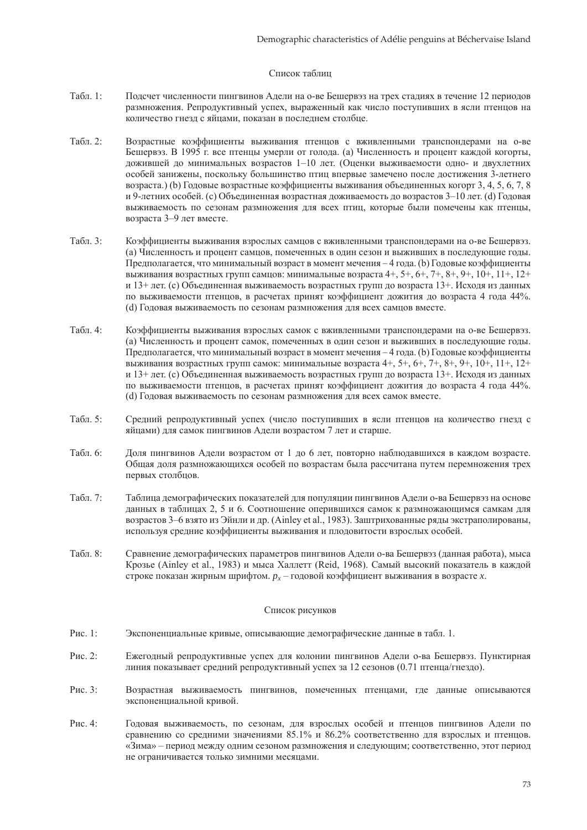### Список таблиц

- Табл. 1: Подсчет численности пингвинов Адели на о-ве Бешервэз на трех стадиях в течение 12 периодов размножения. Репродуктивный успех, выраженный как число поступивших в ясли птенцов на количество гнезд с яйцами, показан в последнем столбце.
- Табл. 2: Возрастные коэффициенты выживания птенцов с вживленными транспондерами на о-ве Бешервэз. В 1995 г. все птенцы умерли от голода. (a) Численность и процент каждой когорты, дожившей до минимальных возрастов 1–10 лет. (Оценки выживаемости одно- и двухлетних особей занижены, поскольку большинство птиц впервые замечено после достижения 3-летнего возраста.) (b) Годовые возрастные коэффициенты выживания объединенных когорт 3, 4, 5, 6, 7, 8 и 9-летних особей. (c) Объединенная возрастная доживаемость до возрастов 3–10 лет. (d) Годовая выживаемость по сезонам размножения для всех птиц, которые были помечены как птенцы, возраста 3–9 лет вместе.
- Табл. 3: Коэффициенты выживания взрослых самцов с вживленными транспондерами на о-ве Бешервэз. (a) Численность и процент самцов, помеченных в один сезон и выживших в последующие годы. Предполагается, что минимальный возраст в момент мечения – 4 года. (b) Годовые коэффициенты выживания возрастных групп самцов: минимальные возраста 4+, 5+, 6+, 7+, 8+, 9+, 10+, 11+, 12+ и 13+ лет. (c) Объединенная выживаемость возрастных групп до возраста 13+. Исходя из данных по выживаемости птенцов, в расчетах принят коэффициент дожития до возраста 4 года 44%. (d) Годовая выживаемость по сезонам размножения для всех самцов вместе.
- Табл. 4: Коэффициенты выживания взрослых самок с вживленными транспондерами на о-ве Бешервэз. (a) Численность и процент самок, помеченных в один сезон и выживших в последующие годы. Предполагается, что минимальный возраст в момент мечения – 4 года. (b) Годовые коэффициенты выживания возрастных групп самок: минимальные возраста 4+, 5+, 6+, 7+, 8+, 9+, 10+, 11+, 12+ и 13+ лет. (c) Объединенная выживаемость возрастных групп до возраста 13+. Исходя из данных по выживаемости птенцов, в расчетах принят коэффициент дожития до возраста 4 года 44%. (d) Годовая выживаемость по сезонам размножения для всех самок вместе.
- Табл. 5: Средний репродуктивный успех (число поступивших в ясли птенцов на количество гнезд с яйцами) для самок пингвинов Адели возрастом 7 лет и старше.
- Табл. 6: Доля пингвинов Адели возрастом от 1 до 6 лет, повторно наблюдавшихся в каждом возрасте. Общая доля размножающихся особей по возрастам была рассчитана путем перемножения трех первых столбцов.
- Табл. 7: Таблица демографических показателей для популяции пингвинов Адели о-ва Бешервэз на основе данных в таблицах 2, 5 и 6. Соотношение оперившихся самок к размножающимся самкам для возрастов 3–6 взято из Эйнли и др. (Ainley et al., 1983). Заштрихованные ряды экстраполированы, используя средние коэффициенты выживания и плодовитости взрослых особей.
- Табл. 8: Сравнение демографических параметров пингвинов Адели о-ва Бешервэз (данная работа), мыса Крозье (Ainley et al., 1983) и мыса Халлетт (Reid, 1968). Самый высокий показатель в каждой строке показан жирным шрифтом.  $p_x$  – годовой коэффициент выживания в возрасте *x*.

### Список рисунков

- Рис. 1: Экспоненциальные кривые, описывающие демографические данные в табл. 1.
- Рис. 2: Ежегодный репродуктивные успех для колонии пингвинов Адели о-ва Бешервэз. Пунктирная линия показывает средний репродуктивный успех за 12 сезонов (0.71 птенца/гнездо).
- Рис. 3: Возрастная выживаемость пингвинов, помеченных птенцами, где данные описываются экспоненциальной кривой.
- Рис. 4: Годовая выживаемость, по сезонам, для взрослых особей и птенцов пингвинов Адели по сравнению со средними значениями 85.1% и 86.2% соответственно для взрослых и птенцов. «Зима» – период между одним сезоном размножения и следующим; соответственно, этот период не ограничивается только зимними месяцами.